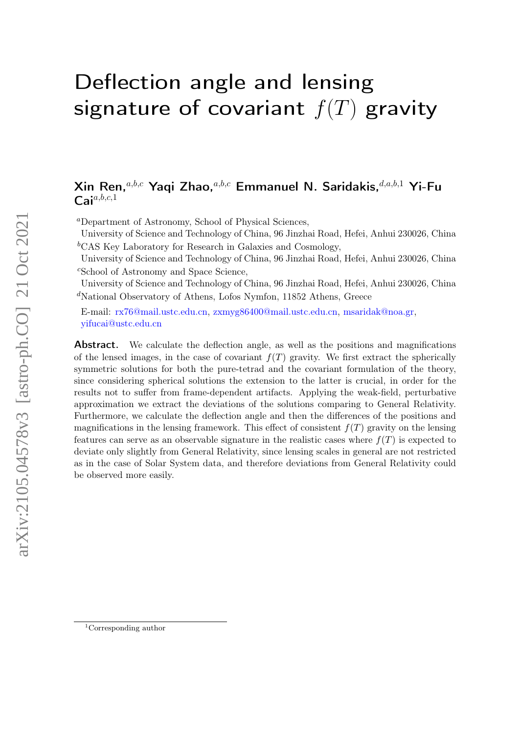# Deflection angle and lensing signature of covariant  $f(T)$  gravity

## $X$ in Ren.<sup>a,b,c</sup> Yaqi Zhao.<sup>a,b,c</sup> Emmanuel N. Saridakis.<sup>d,a,b,1</sup> Yi-Fu  $Cai<sup>a,b,c,1</sup>$

<sup>a</sup>Department of Astronomy, School of Physical Sciences,

University of Science and Technology of China, 96 Jinzhai Road, Hefei, Anhui 230026, China <sup>b</sup>CAS Key Laboratory for Research in Galaxies and Cosmology,

University of Science and Technology of China, 96 Jinzhai Road, Hefei, Anhui 230026, China <sup>c</sup>School of Astronomy and Space Science,

University of Science and Technology of China, 96 Jinzhai Road, Hefei, Anhui 230026, China <sup>d</sup>National Observatory of Athens, Lofos Nymfon, 11852 Athens, Greece

E-mail: [rx76@mail.ustc.edu.cn,](mailto:rx76@mail.ustc.edu.cn) [zxmyg86400@mail.ustc.edu.cn,](mailto:zxmyg86400@mail.ustc.edu.cn) [msaridak@noa.gr,](mailto:msaridak@noa.gr) [yifucai@ustc.edu.cn](mailto:yifucai@ustc.edu.cn)

**Abstract.** We calculate the deflection angle, as well as the positions and magnifications of the lensed images, in the case of covariant  $f(T)$  gravity. We first extract the spherically symmetric solutions for both the pure-tetrad and the covariant formulation of the theory, since considering spherical solutions the extension to the latter is crucial, in order for the results not to suffer from frame-dependent artifacts. Applying the weak-field, perturbative approximation we extract the deviations of the solutions comparing to General Relativity. Furthermore, we calculate the deflection angle and then the differences of the positions and magnifications in the lensing framework. This effect of consistent  $f(T)$  gravity on the lensing features can serve as an observable signature in the realistic cases where  $f(T)$  is expected to deviate only slightly from General Relativity, since lensing scales in general are not restricted as in the case of Solar System data, and therefore deviations from General Relativity could be observed more easily.

<sup>1</sup>Corresponding author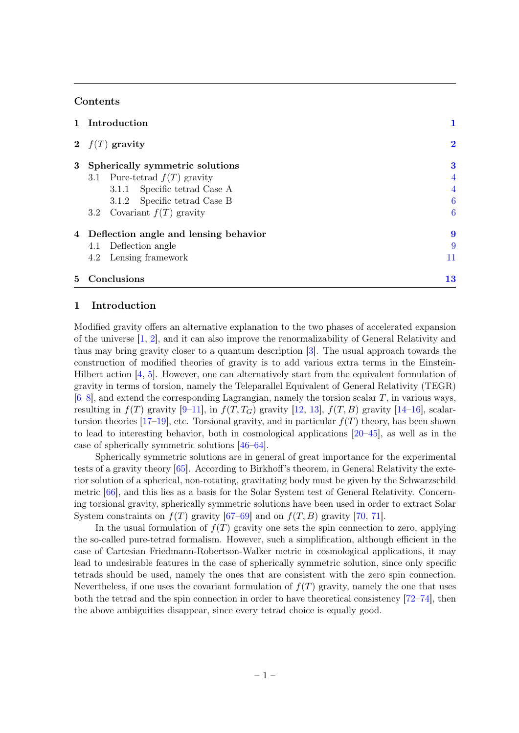#### Contents

|                | 1 Introduction                          |                |
|----------------|-----------------------------------------|----------------|
|                | 2 $f(T)$ gravity                        | $\bf{2}$       |
| 3 <sup>1</sup> | Spherically symmetric solutions         | 3              |
|                | 3.1 Pure-tetrad $f(T)$ gravity          | $\overline{4}$ |
|                | 3.1.1 Specific tetrad Case A            | $\overline{4}$ |
|                | 3.1.2 Specific tetrad Case B            | 6              |
|                | 3.2 Covariant $f(T)$ gravity            | 6              |
|                | 4 Deflection angle and lensing behavior | 9              |
|                | 4.1 Deflection angle                    | 9              |
|                | 4.2 Lensing framework                   | 11             |
| 5.             | Conclusions                             | $\bf{13}$      |

#### <span id="page-1-0"></span>1 Introduction

Modified gravity offers an alternative explanation to the two phases of accelerated expansion of the universe [\[1,](#page-14-0) [2\]](#page-14-1), and it can also improve the renormalizability of General Relativity and thus may bring gravity closer to a quantum description [\[3\]](#page-14-2). The usual approach towards the construction of modified theories of gravity is to add various extra terms in the Einstein-Hilbert action [\[4,](#page-14-3) [5\]](#page-14-4). However, one can alternatively start from the equivalent formulation of gravity in terms of torsion, namely the Teleparallel Equivalent of General Relativity (TEGR)  $[6–8]$  $[6–8]$ , and extend the corresponding Lagrangian, namely the torsion scalar T, in various ways, resulting in  $f(T)$  gravity [\[9–](#page-14-7)[11\]](#page-15-0), in  $f(T, T_G)$  gravity [\[12,](#page-15-1) [13\]](#page-15-2),  $f(T, B)$  gravity [\[14](#page-15-3)[–16\]](#page-15-4), scalar-torsion theories [\[17–](#page-15-5)[19\]](#page-15-6), etc. Torsional gravity, and in particular  $f(T)$  theory, has been shown to lead to interesting behavior, both in cosmological applications [\[20–](#page-15-7)[45\]](#page-16-0), as well as in the case of spherically symmetric solutions [\[46–](#page-16-1)[64\]](#page-17-0).

Spherically symmetric solutions are in general of great importance for the experimental tests of a gravity theory [\[65\]](#page-17-1). According to Birkhoff's theorem, in General Relativity the exterior solution of a spherical, non-rotating, gravitating body must be given by the Schwarzschild metric [\[66\]](#page-17-2), and this lies as a basis for the Solar System test of General Relativity. Concerning torsional gravity, spherically symmetric solutions have been used in order to extract Solar System constraints on  $f(T)$  gravity [\[67–](#page-17-3)[69\]](#page-17-4) and on  $f(T, B)$  gravity [\[70,](#page-17-5) [71\]](#page-17-6).

In the usual formulation of  $f(T)$  gravity one sets the spin connection to zero, applying the so-called pure-tetrad formalism. However, such a simplification, although efficient in the case of Cartesian Friedmann-Robertson-Walker metric in cosmological applications, it may lead to undesirable features in the case of spherically symmetric solution, since only specific tetrads should be used, namely the ones that are consistent with the zero spin connection. Nevertheless, if one uses the covariant formulation of  $f(T)$  gravity, namely the one that uses both the tetrad and the spin connection in order to have theoretical consistency [\[72–](#page-17-7)[74\]](#page-17-8), then the above ambiguities disappear, since every tetrad choice is equally good.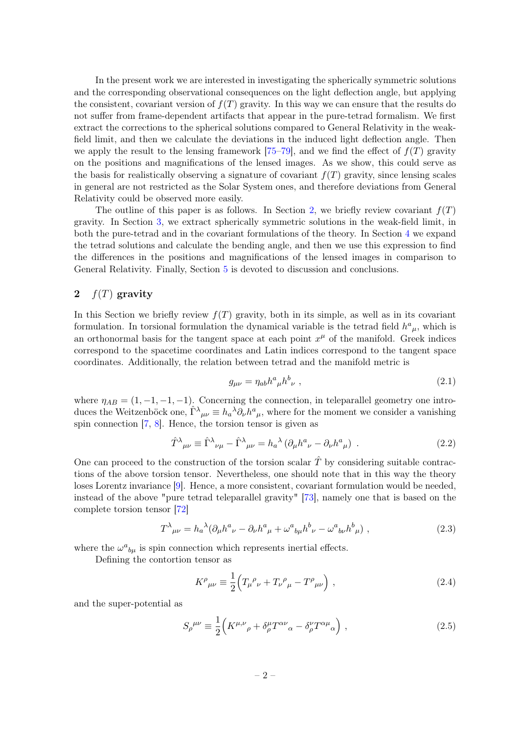In the present work we are interested in investigating the spherically symmetric solutions and the corresponding observational consequences on the light deflection angle, but applying the consistent, covariant version of  $f(T)$  gravity. In this way we can ensure that the results do not suffer from frame-dependent artifacts that appear in the pure-tetrad formalism. We first extract the corrections to the spherical solutions compared to General Relativity in the weakfield limit, and then we calculate the deviations in the induced light deflection angle. Then we apply the result to the lensing framework [\[75–](#page-17-9)[79\]](#page-17-10), and we find the effect of  $f(T)$  gravity on the positions and magnifications of the lensed images. As we show, this could serve as the basis for realistically observing a signature of covariant  $f(T)$  gravity, since lensing scales in general are not restricted as the Solar System ones, and therefore deviations from General Relativity could be observed more easily.

The outline of this paper is as follows. In Section [2,](#page-2-0) we briefly review covariant  $f(T)$ gravity. In Section [3,](#page-3-0) we extract spherically symmetric solutions in the weak-field limit, in both the pure-tetrad and in the covariant formulations of the theory. In Section [4](#page-9-0) we expand the tetrad solutions and calculate the bending angle, and then we use this expression to find the differences in the positions and magnifications of the lensed images in comparison to General Relativity. Finally, Section [5](#page-13-0) is devoted to discussion and conclusions.

### <span id="page-2-0"></span>2  $f(T)$  gravity

In this Section we briefly review  $f(T)$  gravity, both in its simple, as well as in its covariant formulation. In torsional formulation the dynamical variable is the tetrad field  $h^a{}_\mu$ , which is an orthonormal basis for the tangent space at each point  $x^{\mu}$  of the manifold. Greek indices correspond to the spacetime coordinates and Latin indices correspond to the tangent space coordinates. Additionally, the relation between tetrad and the manifold metric is

$$
g_{\mu\nu} = \eta_{ab}h^a{}_\mu h^b{}_\nu \ , \qquad (2.1)
$$

where  $\eta_{AB} = (1, -1, -1, -1)$ . Concerning the connection, in teleparallel geometry one introduces the Weitzenböck one,  $\hat{\Gamma}^{\lambda}{}_{\mu\nu} \equiv h_a{}^{\lambda} \partial_{\nu} h^a{}_{\mu}$ , where for the moment we consider a vanishing spin connection [\[7,](#page-14-8) [8\]](#page-14-6). Hence, the torsion tensor is given as

<span id="page-2-1"></span>
$$
\hat{T}^{\lambda}{}_{\mu\nu} \equiv \hat{\Gamma}^{\lambda}{}_{\nu\mu} - \hat{\Gamma}^{\lambda}{}_{\mu\nu} = h_a^{\lambda} \left( \partial_{\mu} h^a{}_{\nu} - \partial_{\nu} h^a{}_{\mu} \right) . \tag{2.2}
$$

One can proceed to the construction of the torsion scalar  $\hat{T}$  by considering suitable contractions of the above torsion tensor. Nevertheless, one should note that in this way the theory loses Lorentz invariance [\[9\]](#page-14-7). Hence, a more consistent, covariant formulation would be needed, instead of the above "pure tetrad teleparallel gravity" [\[73\]](#page-17-11), namely one that is based on the complete torsion tensor [\[72\]](#page-17-7)

<span id="page-2-2"></span>
$$
T^{\lambda}{}_{\mu\nu} = h_{a}{}^{\lambda} (\partial_{\mu} h^{a}{}_{\nu} - \partial_{\nu} h^{a}{}_{\mu} + \omega^{a}{}_{b\mu} h^{b}{}_{\nu} - \omega^{a}{}_{b\nu} h^{b}{}_{\mu}) \tag{2.3}
$$

where the  $\omega^a{}_{b\mu}$  is spin connection which represents inertial effects.

Defining the contortion tensor as

$$
K^{\rho}{}_{\mu\nu} \equiv \frac{1}{2} \Big( T_{\mu}{}^{\rho}{}_{\nu} + T_{\nu}{}^{\rho}{}_{\mu} - T^{\rho}{}_{\mu\nu} \Big) , \qquad (2.4)
$$

and the super-potential as

$$
S_{\rho}^{\mu\nu} \equiv \frac{1}{2} \Big( K^{\mu,\nu}{}_{\rho} + \delta^{\mu}_{\rho} T^{\alpha\nu}{}_{\alpha} - \delta^{\nu}_{\rho} T^{\alpha\mu}{}_{\alpha} \Big) , \qquad (2.5)
$$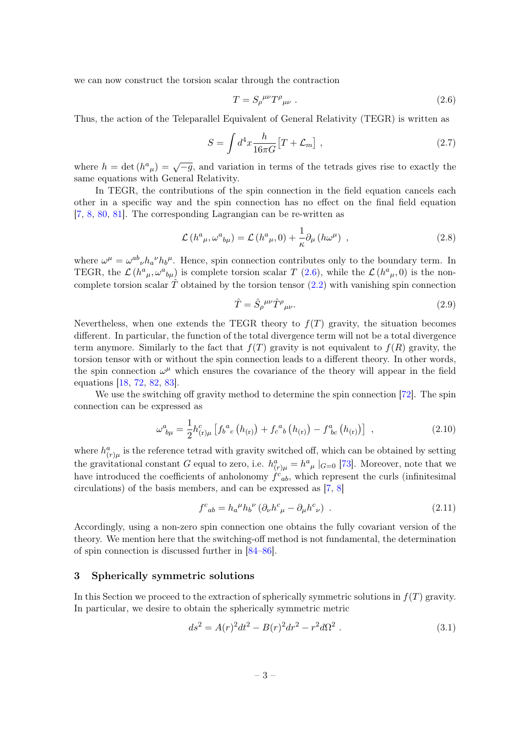we can now construct the torsion scalar through the contraction

<span id="page-3-1"></span>
$$
T = S_{\rho}^{\mu\nu} T^{\rho}{}_{\mu\nu} \ . \tag{2.6}
$$

Thus, the action of the Teleparallel Equivalent of General Relativity (TEGR) is written as

$$
S = \int d^4x \frac{h}{16\pi G} \left[ T + \mathcal{L}_m \right] \,, \tag{2.7}
$$

where  $h = \det(h^a{}_\mu) = \sqrt{-g}$ , and variation in terms of the tetrads gives rise to exactly the same equations with General Relativity.

In TEGR, the contributions of the spin connection in the field equation cancels each other in a specific way and the spin connection has no effect on the final field equation [\[7,](#page-14-8) [8,](#page-14-6) [80,](#page-17-12) [81\]](#page-17-13). The corresponding Lagrangian can be re-written as

<span id="page-3-3"></span>
$$
\mathcal{L}\left(h^{a}{}_{\mu},\omega^{a}{}_{b\mu}\right) = \mathcal{L}\left(h^{a}{}_{\mu},0\right) + \frac{1}{\kappa}\partial_{\mu}\left(h\omega^{\mu}\right) \,,\tag{2.8}
$$

where  $\omega^{\mu} = \omega^{ab}{}_{\nu} h_{a}{}^{\nu} h_{b}{}^{\mu}$ . Hence, spin connection contributes only to the boundary term. In TEGR, the  $\mathcal{L}(h^a{}_\mu, \omega^a{}_{b\mu})$  is complete torsion scalar T [\(2.6\)](#page-3-1), while the  $\mathcal{L}(h^a{}_\mu, 0)$  is the noncomplete torsion scalar  $\hat{T}$  obtained by the torsion tensor [\(2.2\)](#page-2-1) with vanishing spin connection

<span id="page-3-4"></span>
$$
\hat{T} = \hat{S}_{\rho}^{\ \mu\nu} \hat{T}^{\rho}{}_{\mu\nu}.\tag{2.9}
$$

Nevertheless, when one extends the TEGR theory to  $f(T)$  gravity, the situation becomes different. In particular, the function of the total divergence term will not be a total divergence term anymore. Similarly to the fact that  $f(T)$  gravity is not equivalent to  $f(R)$  gravity, the torsion tensor with or without the spin connection leads to a different theory. In other words, the spin connection  $\omega^{\mu}$  which ensures the covariance of the theory will appear in the field equations [\[18,](#page-15-8) [72,](#page-17-7) [82,](#page-17-14) [83\]](#page-17-15).

We use the switching off gravity method to determine the spin connection [\[72\]](#page-17-7). The spin connection can be expressed as

<span id="page-3-2"></span>
$$
\omega_{b\mu}^{a} = \frac{1}{2} h_{(\mathbf{r})\mu}^{c} \left[ f_{b}^{a}{}_{c} \left( h_{(\mathbf{r})} \right) + f_{c}^{a}{}_{b} \left( h_{(\mathbf{r})} \right) - f_{bc}^{a} \left( h_{(\mathbf{r})} \right) \right] , \qquad (2.10)
$$

where  $h_{(r)\mu}^a$  is the reference tetrad with gravity switched off, which can be obtained by setting the gravitational constant G equal to zero, i.e.  $h_{(r)\mu}^a = h^a{}_\mu \; |_{G=0}$  [\[73\]](#page-17-11). Moreover, note that we have introduced the coefficients of anholonomy  $\hat{f}^c_{ab}$ , which represent the curls (infinitesimal circulations) of the basis members, and can be expressed as [\[7,](#page-14-8) [8\]](#page-14-6)

$$
f^{c}{}_{ab} = h_{a}{}^{\mu}h_{b}{}^{\nu}\left(\partial_{\nu}h^{c}{}_{\mu} - \partial_{\mu}h^{c}{}_{\nu}\right) \tag{2.11}
$$

Accordingly, using a non-zero spin connection one obtains the fully covariant version of the theory. We mention here that the switching-off method is not fundamental, the determination of spin connection is discussed further in [\[84–](#page-17-16)[86\]](#page-17-17).

#### <span id="page-3-0"></span>3 Spherically symmetric solutions

In this Section we proceed to the extraction of spherically symmetric solutions in  $f(T)$  gravity. In particular, we desire to obtain the spherically symmetric metric

<span id="page-3-5"></span>
$$
ds^{2} = A(r)^{2}dt^{2} - B(r)^{2}dr^{2} - r^{2}d\Omega^{2} . \qquad (3.1)
$$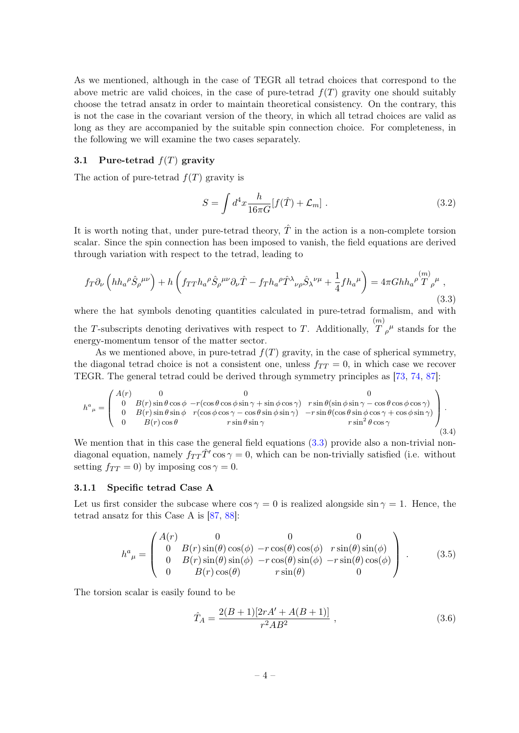As we mentioned, although in the case of TEGR all tetrad choices that correspond to the above metric are valid choices, in the case of pure-tetrad  $f(T)$  gravity one should suitably choose the tetrad ansatz in order to maintain theoretical consistency. On the contrary, this is not the case in the covariant version of the theory, in which all tetrad choices are valid as long as they are accompanied by the suitable spin connection choice. For completeness, in the following we will examine the two cases separately.

#### <span id="page-4-0"></span>3.1 Pure-tetrad  $f(T)$  gravity

The action of pure-tetrad  $f(T)$  gravity is

$$
S = \int d^4x \frac{h}{16\pi G} [f(\hat{T}) + \mathcal{L}_m]. \qquad (3.2)
$$

It is worth noting that, under pure-tetrad theory,  $\hat{T}$  in the action is a non-complete torsion scalar. Since the spin connection has been imposed to vanish, the field equations are derived through variation with respect to the tetrad, leading to

<span id="page-4-2"></span>
$$
f_T \partial_\nu \left( h h_a^{\ \rho} \hat{S}_\rho^{\ \mu\nu} \right) + h \left( f_{TT} h_a^{\ \rho} \hat{S}_\rho^{\ \mu\nu} \partial_\nu \hat{T} - f_T h_a^{\ \rho} \hat{T}^\lambda{}_{\nu\rho} \hat{S}_\lambda^{\ \nu\mu} + \frac{1}{4} f h_a^{\ \mu} \right) = 4\pi G h h_a^{\ \rho} \stackrel{(m)}{T}_{\rho}^{\ \mu} , \tag{3.3}
$$

where the hat symbols denoting quantities calculated in pure-tetrad formalism, and with the  $T$ -subscripts denoting derivatives with respect to  $T$ . Additionally,  $(m)$  $T^{'}\rho^{\mu}$  stands for the energy-momentum tensor of the matter sector.

As we mentioned above, in pure-tetrad  $f(T)$  gravity, in the case of spherical symmetry, the diagonal tetrad choice is not a consistent one, unless  $f_{TT} = 0$ , in which case we recover TEGR. The general tetrad could be derived through symmetry principles as [\[73,](#page-17-11) [74,](#page-17-8) [87\]](#page-17-18):

<span id="page-4-4"></span>
$$
h^{a}_{\ \mu} = \begin{pmatrix} A(r) & 0 & 0 & 0 & 0 \\ 0 & B(r)\sin\theta\cos\phi & -r(\cos\theta\cos\phi\sin\gamma + \sin\phi\cos\gamma) & r\sin\theta(\sin\phi\sin\gamma - \cos\theta\cos\phi\cos\gamma) \\ 0 & B(r)\sin\theta\sin\phi & r(\cos\phi\cos\gamma - \cos\theta\sin\phi\sin\gamma) & -r\sin\theta(\cos\theta\sin\phi\cos\gamma + \cos\phi\sin\gamma) \\ 0 & B(r)\cos\theta & r\sin\theta\sin\gamma & r\sin^2\theta\cos\gamma \end{pmatrix}.
$$
\n(3.4)

We mention that in this case the general field equations  $(3.3)$  provide also a non-trivial nondiagonal equation, namely  $f_{TT}\hat{T}'\cos\gamma=0$ , which can be non-trivially satisfied (i.e. without setting  $f_{TT} = 0$ ) by imposing cos  $\gamma = 0$ .

#### <span id="page-4-1"></span>3.1.1 Specific tetrad Case A

Let us first consider the subcase where  $\cos \gamma = 0$  is realized alongside  $\sin \gamma = 1$ . Hence, the tetrad ansatz for this Case A is [\[87,](#page-17-18) [88\]](#page-17-19):

<span id="page-4-3"></span>
$$
h^{a}_{\ \mu} = \begin{pmatrix} A(r) & 0 & 0 & 0 \\ 0 & B(r)\sin(\theta)\cos(\phi) & -r\cos(\theta)\cos(\phi) & r\sin(\theta)\sin(\phi) \\ 0 & B(r)\sin(\theta)\sin(\phi) & -r\cos(\theta)\sin(\phi) & -r\sin(\theta)\cos(\phi) \\ 0 & B(r)\cos(\theta) & r\sin(\theta) & 0 \end{pmatrix} .
$$
 (3.5)

The torsion scalar is easily found to be

$$
\hat{T}_A = \frac{2(B+1)[2rA' + A(B+1)]}{r^2AB^2} \,, \tag{3.6}
$$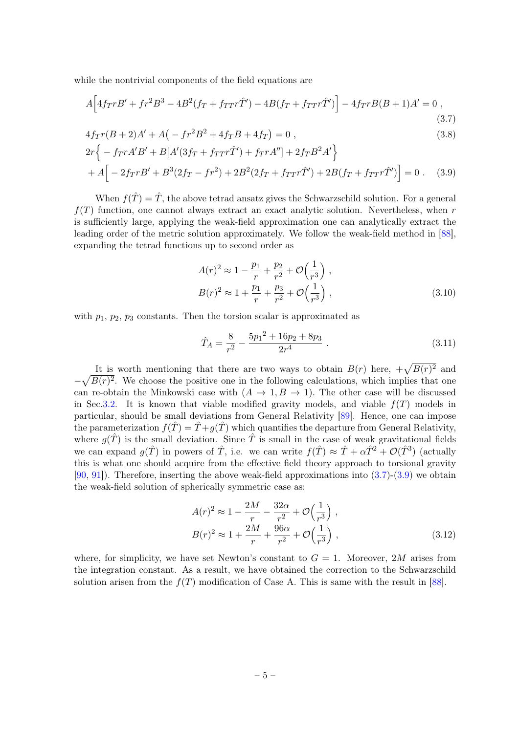while the nontrivial components of the field equations are

$$
A\Big[4f_TrB' + fr^2B^3 - 4B^2(f_T + f_{TT}r\hat{T}') - 4B(f_T + f_{TT}r\hat{T}')\Big] - 4f_TrB(B+1)A' = 0,
$$
\n(3.7)

$$
4frr(B+2)A' + A(-fr2B2 + 4frB + 4fr) = 0,
$$
\n(3.8)

$$
2r\{-f_{TT}A'B' + B[A'(3f_T + f_{TT}r\hat{T}') + f_{TT}A''] + 2f_TB^2A'\}
$$
  
+  $A\left[-2f_{TT}B' + B^3(2f_T - fr^2) + 2B^2(2f_T + f_{TT}r\hat{T}') + 2B(f_T + f_{TT}r\hat{T}')\right] = 0.$  (3.9)

When  $f(\hat{T}) = \hat{T}$ , the above tetrad ansatz gives the Schwarzschild solution. For a general  $f(T)$  function, one cannot always extract an exact analytic solution. Nevertheless, when r is sufficiently large, applying the weak-field approximation one can analytically extract the leading order of the metric solution approximately. We follow the weak-field method in [\[88\]](#page-17-19), expanding the tetrad functions up to second order as

<span id="page-5-2"></span><span id="page-5-1"></span><span id="page-5-0"></span>
$$
A(r)^{2} \approx 1 - \frac{p_{1}}{r} + \frac{p_{2}}{r^{2}} + \mathcal{O}\left(\frac{1}{r^{3}}\right),
$$
  
\n
$$
B(r)^{2} \approx 1 + \frac{p_{1}}{r} + \frac{p_{3}}{r^{2}} + \mathcal{O}\left(\frac{1}{r^{3}}\right),
$$
\n(3.10)

with  $p_1, p_2, p_3$  constants. Then the torsion scalar is approximated as

$$
\hat{T}_A = \frac{8}{r^2} - \frac{5p_1^2 + 16p_2 + 8p_3}{2r^4} \ . \tag{3.11}
$$

It is worth mentioning that there are two ways to obtain  $B(r)$  here,  $+\sqrt{B(r)^2}$  and  $-\sqrt{B(r)^2}$ . We choose the positive one in the following calculations, which implies that one can re-obtain the Minkowski case with  $(A \to 1, B \to 1)$ . The other case will be discussed in Sec[.3.2.](#page-6-1) It is known that viable modified gravity models, and viable  $f(T)$  models in particular, should be small deviations from General Relativity [\[89\]](#page-18-0). Hence, one can impose the parameterization  $f(\hat{T}) = \hat{T} + g(\hat{T})$  which quantifies the departure from General Relativity, where  $g(\hat{T})$  is the small deviation. Since  $\hat{T}$  is small in the case of weak gravitational fields we can expand  $g(\hat{T})$  in powers of  $\hat{T}$ , i.e. we can write  $f(\hat{T}) \approx \hat{T} + \alpha \hat{T}^2 + \mathcal{O}(\hat{T}^3)$  (actually this is what one should acquire from the effective field theory approach to torsional gravity [\[90,](#page-18-1) [91\]](#page-18-2)). Therefore, inserting the above weak-field approximations into [\(3.7\)](#page-5-0)-[\(3.9\)](#page-5-1) we obtain the weak-field solution of spherically symmetric case as:

$$
A(r)^{2} \approx 1 - \frac{2M}{r} - \frac{32\alpha}{r^{2}} + \mathcal{O}\left(\frac{1}{r^{3}}\right),
$$
  
\n
$$
B(r)^{2} \approx 1 + \frac{2M}{r} + \frac{96\alpha}{r^{2}} + \mathcal{O}\left(\frac{1}{r^{3}}\right),
$$
\n(3.12)

where, for simplicity, we have set Newton's constant to  $G = 1$ . Moreover, 2M arises from the integration constant. As a result, we have obtained the correction to the Schwarzschild solution arisen from the  $f(T)$  modification of Case A. This is same with the result in [\[88\]](#page-17-19).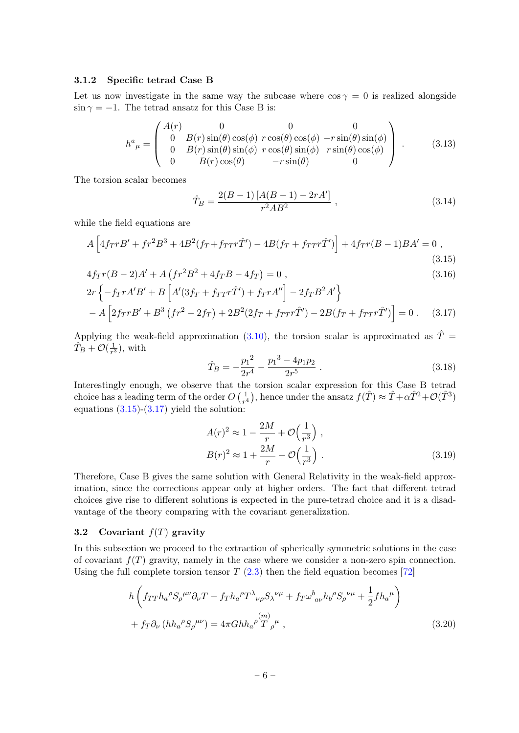#### <span id="page-6-0"></span>3.1.2 Specific tetrad Case B

Let us now investigate in the same way the subcase where  $\cos \gamma = 0$  is realized alongside  $\sin \gamma = -1$ . The tetrad ansatz for this Case B is:

<span id="page-6-4"></span>
$$
h^{a}_{\mu} = \begin{pmatrix} A(r) & 0 & 0 & 0 \\ 0 & B(r)\sin(\theta)\cos(\phi) & r\cos(\theta)\cos(\phi) & -r\sin(\theta)\sin(\phi) \\ 0 & B(r)\sin(\theta)\sin(\phi) & r\cos(\theta)\sin(\phi) & r\sin(\theta)\cos(\phi) \\ 0 & B(r)\cos(\theta) & -r\sin(\theta) & 0 \end{pmatrix} .
$$
 (3.13)

The torsion scalar becomes

$$
\hat{T}_B = \frac{2(B-1)[A(B-1) - 2rA']}{r^2AB^2} \,, \tag{3.14}
$$

while the field equations are

$$
A\left[4f_{T}rB' + fr^{2}B^{3} + 4B^{2}(f_{T} + f_{TT}r\hat{T}') - 4B(f_{T} + f_{TT}r\hat{T}')\right] + 4f_{T}r(B-1)BA' = 0,
$$
\n(3.15)

$$
4f_Tr(B-2)A' + A\left(fr^2B^2 + 4f_TB - 4f_T\right) = 0,
$$
\n
$$
2r\left\{-f_TrA'B' + B\left[A'(3f_T + f_{TT}r\hat{T}') + f_TrA''\right] - 2f_TB^2A'\right\}
$$
\n(3.16)

$$
-A\left[2f_{T}rB' + B^{3}(fr^{2} - 2f_{T}) + 2B^{2}(2f_{T} + f_{TT}r\hat{T}') - 2B(f_{T} + f_{TT}r\hat{T}')\right] = 0.
$$
 (3.17)

Applying the weak-field approximation [\(3.10\)](#page-5-2), the torsion scalar is approximated as  $\hat{T} =$  $\hat{T}_B + \mathcal{O}(\frac{1}{r^3})$  $\frac{1}{r^3}$ , with

<span id="page-6-3"></span><span id="page-6-2"></span>
$$
\hat{T}_B = -\frac{p_1^2}{2r^4} - \frac{p_1^3 - 4p_1p_2}{2r^5} \ . \tag{3.18}
$$

Interestingly enough, we observe that the torsion scalar expression for this Case B tetrad choice has a leading term of the order  $O\left(\frac{1}{r^2}\right)$  $(\frac{1}{r^4})$ , hence under the ansatz  $f(\hat{T}) \approx \hat{T} + \alpha \hat{T}^2 + \mathcal{O}(\hat{T}^3)$ equations  $(3.15)-(3.17)$  $(3.15)-(3.17)$  $(3.15)-(3.17)$  yield the solution:

<span id="page-6-5"></span>
$$
A(r)^{2} \approx 1 - \frac{2M}{r} + \mathcal{O}\left(\frac{1}{r^{3}}\right),
$$
  
\n
$$
B(r)^{2} \approx 1 + \frac{2M}{r} + \mathcal{O}\left(\frac{1}{r^{3}}\right).
$$
\n(3.19)

Therefore, Case B gives the same solution with General Relativity in the weak-field approximation, since the corrections appear only at higher orders. The fact that different tetrad choices give rise to different solutions is expected in the pure-tetrad choice and it is a disadvantage of the theory comparing with the covariant generalization.

#### <span id="page-6-1"></span>3.2 Covariant  $f(T)$  gravity

In this subsection we proceed to the extraction of spherically symmetric solutions in the case of covariant  $f(T)$  gravity, namely in the case where we consider a non-zero spin connection. Using the full complete torsion tensor  $T(2.3)$  $T(2.3)$  then the field equation becomes [\[72\]](#page-17-7)

$$
h\left(f_{TT}h_{a}{}^{\rho}S_{\rho}{}^{\mu\nu}\partial_{\nu}T - f_{T}h_{a}{}^{\rho}T^{\lambda}{}_{\nu\rho}S_{\lambda}{}^{\nu\mu} + f_{T}\omega^{b}{}_{a\nu}h_{b}{}^{\rho}S_{\rho}{}^{\nu\mu} + \frac{1}{2}fh_{a}{}^{\mu}\right) + f_{T}\partial_{\nu}\left(hh_{a}{}^{\rho}S_{\rho}{}^{\mu\nu}\right) = 4\pi G h h_{a}{}^{\rho}\stackrel{(m)}{T}{}_{\rho}{}^{\mu},
$$
\n(3.20)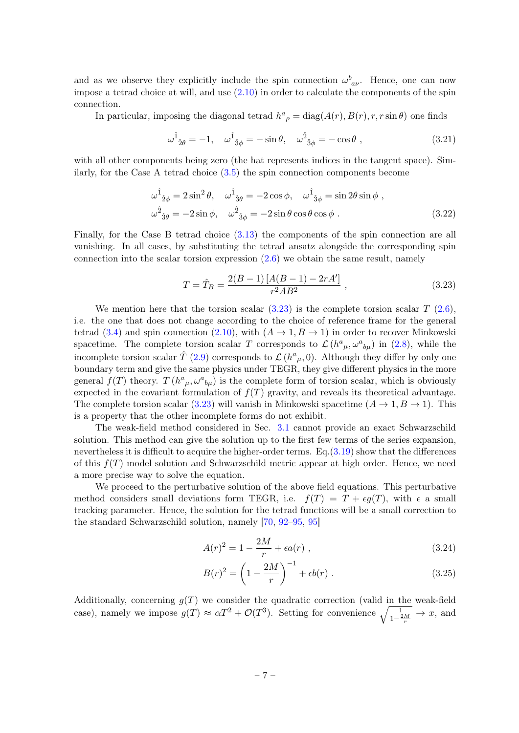and as we observe they explicitly include the spin connection  $\omega_{a\nu}^b$ . Hence, one can now impose a tetrad choice at will, and use  $(2.10)$  in order to calculate the components of the spin connection.

In particular, imposing the diagonal tetrad  $h^a_{\ \rho} = \text{diag}(A(r), B(r), r, r \sin \theta)$  one finds

$$
\omega^{\hat{1}}{}_{\hat{2}\theta} = -1, \quad \omega^{\hat{1}}{}_{\hat{3}\phi} = -\sin\theta, \quad \omega^{\hat{2}}{}_{\hat{3}\phi} = -\cos\theta \;, \tag{3.21}
$$

with all other components being zero (the hat represents indices in the tangent space). Similarly, for the Case A tetrad choice [\(3.5\)](#page-4-3) the spin connection components become

$$
\omega^{\hat{1}}{}_{\hat{2}\phi} = 2\sin^2\theta, \quad \omega^{\hat{1}}{}_{\hat{3}\theta} = -2\cos\phi, \quad \omega^{\hat{1}}{}_{\hat{3}\phi} = \sin 2\theta \sin\phi ,
$$

$$
\omega^{\hat{2}}{}_{\hat{3}\theta} = -2\sin\phi, \quad \omega^{\hat{2}}{}_{\hat{3}\phi} = -2\sin\theta \cos\theta \cos\phi . \tag{3.22}
$$

Finally, for the Case B tetrad choice [\(3.13\)](#page-6-4) the components of the spin connection are all vanishing. In all cases, by substituting the tetrad ansatz alongside the corresponding spin connection into the scalar torsion expression [\(2.6\)](#page-3-1) we obtain the same result, namely

<span id="page-7-0"></span>
$$
T = \hat{T}_B = \frac{2(B-1)[A(B-1) - 2rA']}{r^2AB^2} , \qquad (3.23)
$$

We mention here that the torsion scalar  $(3.23)$  is the complete torsion scalar T  $(2.6)$ , i.e. the one that does not change according to the choice of reference frame for the general tetrad [\(3.4\)](#page-4-4) and spin connection [\(2.10\)](#page-3-2), with  $(A \to 1, B \to 1)$  in order to recover Minkowski spacetime. The complete torsion scalar T corresponds to  $\mathcal{L}(h^a_{\mu}, \omega^a_{b\mu})$  in [\(2.8\)](#page-3-3), while the incomplete torsion scalar  $\hat{T}$  [\(2.9\)](#page-3-4) corresponds to  $\mathcal{L}(h^a_{\mu}, 0)$ . Although they differ by only one boundary term and give the same physics under TEGR, they give different physics in the more general  $f(T)$  theory.  $T(h^a_{\mu}, \omega^a_{b\mu})$  is the complete form of torsion scalar, which is obviously expected in the covariant formulation of  $f(T)$  gravity, and reveals its theoretical advantage. The complete torsion scalar [\(3.23\)](#page-7-0) will vanish in Minkowski spacetime  $(A \to 1, B \to 1)$ . This is a property that the other incomplete forms do not exhibit.

The weak-field method considered in Sec. [3.1](#page-4-0) cannot provide an exact Schwarzschild solution. This method can give the solution up to the first few terms of the series expansion, nevertheless it is difficult to acquire the higher-order terms. Eq.[\(3.19\)](#page-6-5) show that the differences of this  $f(T)$  model solution and Schwarzschild metric appear at high order. Hence, we need a more precise way to solve the equation.

We proceed to the perturbative solution of the above field equations. This perturbative method considers small deviations form TEGR, i.e.  $f(T) = T + \epsilon g(T)$ , with  $\epsilon$  a small tracking parameter. Hence, the solution for the tetrad functions will be a small correction to the standard Schwarzschild solution, namely [\[70,](#page-17-5) [92–](#page-18-3)[95,](#page-18-4) [95\]](#page-18-4)

<span id="page-7-1"></span>
$$
A(r)^{2} = 1 - \frac{2M}{r} + \epsilon a(r) , \qquad (3.24)
$$

$$
B(r)^{2} = \left(1 - \frac{2M}{r}\right)^{-1} + \epsilon b(r) . \qquad (3.25)
$$

Additionally, concerning  $g(T)$  we consider the quadratic correction (valid in the weak-field case), namely we impose  $g(T) \approx \alpha T^2 + \mathcal{O}(T^3)$ . Setting for convenience  $\sqrt{\frac{1}{1-\frac{2M}{r}}} \to x$ , and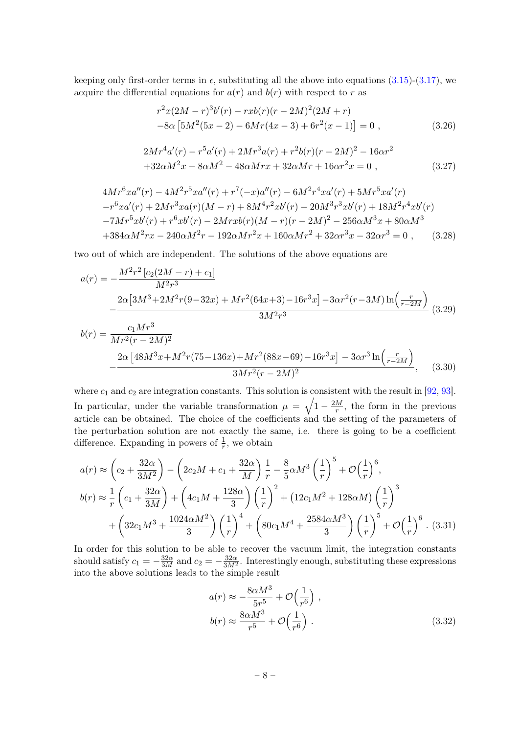keeping only first-order terms in  $\epsilon$ , substituting all the above into equations [\(3.15\)](#page-6-2)-[\(3.17\)](#page-6-3), we acquire the differential equations for  $a(r)$  and  $b(r)$  with respect to r as

$$
r^{2}x(2M-r)^{3}b'(r) - rxb(r)(r-2M)^{2}(2M+r)
$$
  
-8\alpha [5M<sup>2</sup>(5x-2) - 6Mr(4x-3) + 6r<sup>2</sup>(x-1)] = 0, (3.26)

$$
2Mr^{4}a'(r) - r^{5}a'(r) + 2Mr^{3}a(r) + r^{2}b(r)(r - 2M)^{2} - 16\alpha r^{2}
$$
  
+32 $\alpha M^{2}x - 8\alpha M^{2} - 48\alpha Mrx + 32\alpha Mr + 16\alpha r^{2}x = 0$ , (3.27)

$$
4Mr^{6}xa''(r) - 4M^{2}r^{5}xa''(r) + r^{7}(-x)a''(r) - 6M^{2}r^{4}xa'(r) + 5Mr^{5}xa'(r)
$$
  

$$
-r^{6}xa'(r) + 2Mr^{3}xa(r)(M-r) + 8M^{4}r^{2}xb'(r) - 20M^{3}r^{3}xb'(r) + 18M^{2}r^{4}xb'(r)
$$
  

$$
-7Mr^{5}xb'(r) + r^{6}xb'(r) - 2Mrxb(r)(M-r)(r - 2M)^{2} - 256\alpha M^{3}x + 80\alpha M^{3}
$$
  

$$
+384\alpha M^{2}rx - 240\alpha M^{2}r - 192\alpha Mr^{2}x + 160\alpha Mr^{2} + 32\alpha r^{3}x - 32\alpha r^{3} = 0 , \qquad (3.28)
$$

two out of which are independent. The solutions of the above equations are

$$
a(r) = -\frac{M^2r^2\left[c_2(2M-r) + c_1\right]}{M^2r^3}
$$
  

$$
-\frac{2\alpha\left[3M^3 + 2M^2r(9-32x) + Mr^2(64x+3) - 16r^3x\right] - 3\alpha r^2(r-3M)\ln\left(\frac{r}{r-2M}\right)}{3M^2r^3}
$$
  

$$
b(r) = \frac{c_1Mr^3}{Mr^2(r-2M)^2}
$$
 (3.29)

$$
-\frac{2\alpha \left[48M^3x + M^2r(75-136x) + Mr^2(88x-69) - 16r^3x\right] - 3\alpha r^3 \ln\left(\frac{r}{r-2M}\right)}{3Mr^2(r-2M)^2},\tag{3.30}
$$

where  $c_1$  and  $c_2$  are integration constants. This solution is consistent with the result in [\[92,](#page-18-3) [93\]](#page-18-5). In particular, under the variable transformation  $\mu = \sqrt{1 - \frac{2M}{r}}$  $\frac{M}{r}$ , the form in the previous article can be obtained. The choice of the coefficients and the setting of the parameters of the perturbation solution are not exactly the same, i.e. there is going to be a coefficient difference. Expanding in powers of  $\frac{1}{r}$ , we obtain

$$
a(r) \approx \left(c_2 + \frac{32\alpha}{3M^2}\right) - \left(2c_2M + c_1 + \frac{32\alpha}{M}\right)\frac{1}{r} - \frac{8}{5}\alpha M^3 \left(\frac{1}{r}\right)^5 + \mathcal{O}\left(\frac{1}{r}\right)^6,
$$
  
\n
$$
b(r) \approx \frac{1}{r}\left(c_1 + \frac{32\alpha}{3M}\right) + \left(4c_1M + \frac{128\alpha}{3}\right)\left(\frac{1}{r}\right)^2 + \left(12c_1M^2 + 128\alpha M\right)\left(\frac{1}{r}\right)^3 + \left(32c_1M^3 + \frac{1024\alpha M^2}{3}\right)\left(\frac{1}{r}\right)^4 + \left(80c_1M^4 + \frac{2584\alpha M^3}{3}\right)\left(\frac{1}{r}\right)^5 + \mathcal{O}\left(\frac{1}{r}\right)^6.
$$
 (3.31)

In order for this solution to be able to recover the vacuum limit, the integration constants should satisfy  $c_1 = -\frac{32\alpha}{3M}$  and  $c_2 = -\frac{32\alpha}{3M^2}$ . Interestingly enough, substituting these expressions into the above solutions leads to the simple result

$$
a(r) \approx -\frac{8\alpha M^3}{5r^5} + \mathcal{O}\left(\frac{1}{r^6}\right) ,
$$
  

$$
b(r) \approx \frac{8\alpha M^3}{r^5} + \mathcal{O}\left(\frac{1}{r^6}\right) .
$$
 (3.32)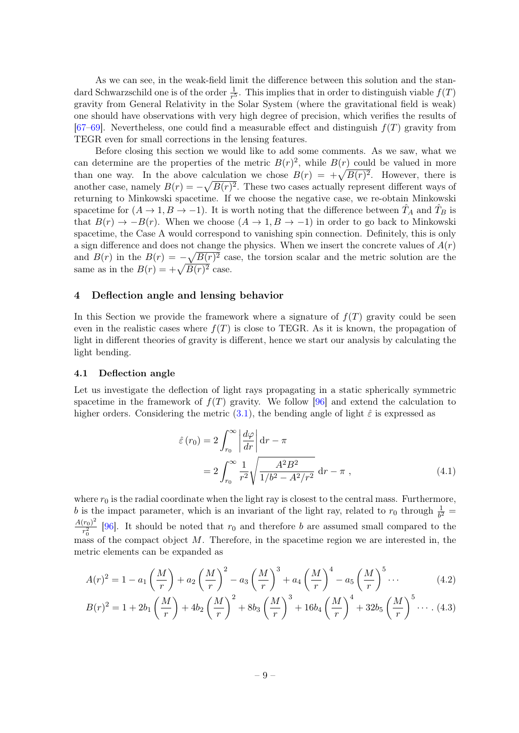As we can see, in the weak-field limit the difference between this solution and the standard Schwarzschild one is of the order  $\frac{1}{r^5}$ . This implies that in order to distinguish viable  $f(T)$ gravity from General Relativity in the Solar System (where the gravitational field is weak) one should have observations with very high degree of precision, which verifies the results of [\[67](#page-17-3)[–69\]](#page-17-4). Nevertheless, one could find a measurable effect and distinguish  $f(T)$  gravity from TEGR even for small corrections in the lensing features.

Before closing this section we would like to add some comments. As we saw, what we can determine are the properties of the metric  $B(r)^2$ , while  $B(r)$  could be valued in more than one way. In the above calculation we chose  $B(r) = +\sqrt{B(r)^2}$ . However, there is another case, namely  $B(r) = -\sqrt{B(r)^2}$ . These two cases actually represent different ways of returning to Minkowski spacetime. If we choose the negative case, we re-obtain Minkowski spacetime for  $(A \to 1, B \to -1)$ . It is worth noting that the difference between  $T_A$  and  $T_B$  is that  $B(r) \to -B(r)$ . When we choose  $(A \to 1, B \to -1)$  in order to go back to Minkowski spacetime, the Case A would correspond to vanishing spin connection. Definitely, this is only a sign difference and does not change the physics. When we insert the concrete values of  $A(r)$ and  $B(r)$  in the  $B(r) = -\sqrt{B(r)^2}$  case, the torsion scalar and the metric solution are the same as in the  $B(r) = +\sqrt{B(r)^2}$  case.

#### <span id="page-9-0"></span>4 Deflection angle and lensing behavior

In this Section we provide the framework where a signature of  $f(T)$  gravity could be seen even in the realistic cases where  $f(T)$  is close to TEGR. As it is known, the propagation of light in different theories of gravity is different, hence we start our analysis by calculating the light bending.

#### <span id="page-9-1"></span>4.1 Deflection angle

Let us investigate the deflection of light rays propagating in a static spherically symmetric spacetime in the framework of  $f(T)$  gravity. We follow [\[96\]](#page-18-6) and extend the calculation to higher orders. Considering the metric [\(3.1\)](#page-3-5), the bending angle of light  $\hat{\varepsilon}$  is expressed as

<span id="page-9-2"></span>
$$
\hat{\varepsilon}(r_0) = 2 \int_{r_0}^{\infty} \left| \frac{d\varphi}{dr} \right| dr - \pi
$$

$$
= 2 \int_{r_0}^{\infty} \frac{1}{r^2} \sqrt{\frac{A^2 B^2}{1/b^2 - A^2/r^2}} dr - \pi , \qquad (4.1)
$$

where  $r_0$  is the radial coordinate when the light ray is closest to the central mass. Furthermore, b is the impact parameter, which is an invariant of the light ray, related to  $r_0$  through  $\frac{1}{b^2}$  =  $A(r_0)^2$  $\frac{r_{0}}{r_{0}^{2}}$  [\[96\]](#page-18-6). It should be noted that  $r_{0}$  and therefore b are assumed small compared to the mass of the compact object  $M$ . Therefore, in the spacetime region we are interested in, the metric elements can be expanded as

<span id="page-9-3"></span>
$$
A(r)^{2} = 1 - a_{1} \left(\frac{M}{r}\right) + a_{2} \left(\frac{M}{r}\right)^{2} - a_{3} \left(\frac{M}{r}\right)^{3} + a_{4} \left(\frac{M}{r}\right)^{4} - a_{5} \left(\frac{M}{r}\right)^{5} \cdots
$$
 (4.2)

$$
B(r)^{2} = 1 + 2b_{1} \left(\frac{M}{r}\right) + 4b_{2} \left(\frac{M}{r}\right)^{2} + 8b_{3} \left(\frac{M}{r}\right)^{3} + 16b_{4} \left(\frac{M}{r}\right)^{4} + 32b_{5} \left(\frac{M}{r}\right)^{5} \cdots (4.3)
$$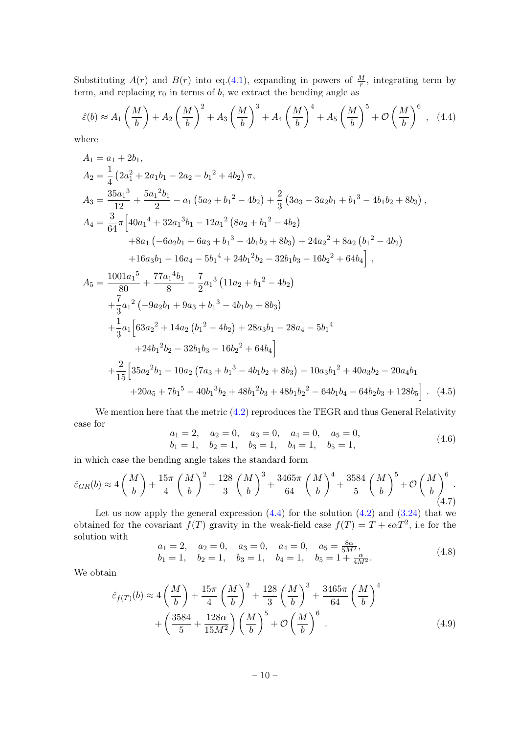Substituting  $A(r)$  and  $B(r)$  into eq.[\(4.1\)](#page-9-2), expanding in powers of  $\frac{M}{r}$ , integrating term by term, and replacing  $r_0$  in terms of b, we extract the bending angle as

<span id="page-10-0"></span>
$$
\hat{\varepsilon}(b) \approx A_1 \left(\frac{M}{b}\right) + A_2 \left(\frac{M}{b}\right)^2 + A_3 \left(\frac{M}{b}\right)^3 + A_4 \left(\frac{M}{b}\right)^4 + A_5 \left(\frac{M}{b}\right)^5 + \mathcal{O}\left(\frac{M}{b}\right)^6 , \quad (4.4)
$$

where

$$
A_1 = a_1 + 2b_1,
$$
  
\n
$$
A_2 = \frac{1}{4} \left(2a_1^2 + 2a_1b_1 - 2a_2 - b_1^2 + 4b_2\right) \pi,
$$
  
\n
$$
A_3 = \frac{35a_1^3}{12} + \frac{5a_1^2b_1}{2} - a_1 \left(5a_2 + b_1^2 - 4b_2\right) + \frac{2}{3} \left(3a_3 - 3a_2b_1 + b_1^3 - 4b_1b_2 + 8b_3\right),
$$
  
\n
$$
A_4 = \frac{3}{64} \pi \left[40a_1^4 + 32a_1^3b_1 - 12a_1^2 \left(8a_2 + b_1^2 - 4b_2\right) + 8a_1 \left(-6a_2b_1 + 6a_3 + b_1^3 - 4b_1b_2 + 8b_3\right) + 24a_2^2 + 8a_2 \left(b_1^2 - 4b_2\right) + 16a_3b_1 - 16a_4 - 5b_1^4 + 24b_1^2b_2 - 32b_1b_3 - 16b_2^2 + 64b_4\right],
$$
  
\n
$$
A_5 = \frac{1001a_1^5}{80} + \frac{77a_1^4b_1}{8} - \frac{7}{2}a_1^3 \left(11a_2 + b_1^2 - 4b_2\right)
$$
  
\n
$$
+ \frac{7}{3}a_1^2 \left(-9a_2b_1 + 9a_3 + b_1^3 - 4b_1b_2 + 8b_3\right)
$$
  
\n
$$
+ \frac{1}{3}a_1 \left[63a_2^2 + 14a_2 \left(b_1^2 - 4b_2\right) + 28a_3b_1 - 28a_4 - 5b_1^4 + 24b_1^2b_2 - 32b_1b_3 - 16b_2^2 + 64b_4\right]
$$
  
\n
$$
+ \frac{2}{15} \left[35a_2^2b_1 - 10a_2 \left(7a_3 + b_1^3 - 4b_1b_2 + 8b_3\right
$$

We mention here that the metric  $(4.2)$  reproduces the TEGR and thus General Relativity case for

<span id="page-10-2"></span>
$$
a_1 = 2, \quad a_2 = 0, \quad a_3 = 0, \quad a_4 = 0, \quad a_5 = 0,
$$
  
\n $b_1 = 1, \quad b_2 = 1, \quad b_3 = 1, \quad b_4 = 1, \quad b_5 = 1,$  (4.6)

in which case the bending angle takes the standard form

<span id="page-10-1"></span>
$$
\hat{\varepsilon}_{GR}(b) \approx 4\left(\frac{M}{b}\right) + \frac{15\pi}{4}\left(\frac{M}{b}\right)^2 + \frac{128}{3}\left(\frac{M}{b}\right)^3 + \frac{3465\pi}{64}\left(\frac{M}{b}\right)^4 + \frac{3584}{5}\left(\frac{M}{b}\right)^5 + \mathcal{O}\left(\frac{M}{b}\right)^6.
$$
\n(4.7)

Let us now apply the general expression  $(4.4)$  for the solution  $(4.2)$  and  $(3.24)$  that we obtained for the covariant  $f(T)$  gravity in the weak-field case  $f(T) = T + \epsilon \alpha T^2$ , i.e for the solution with  $\overline{8}$ 

<span id="page-10-3"></span>
$$
a_1 = 2, \quad a_2 = 0, \quad a_3 = 0, \quad a_4 = 0, \quad a_5 = \frac{8\alpha}{5M^2},
$$
  
\n $b_1 = 1, \quad b_2 = 1, \quad b_3 = 1, \quad b_4 = 1, \quad b_5 = 1 + \frac{\alpha}{4M^2}.$  (4.8)

We obtain

$$
\hat{\varepsilon}_{f(T)}(b) \approx 4\left(\frac{M}{b}\right) + \frac{15\pi}{4}\left(\frac{M}{b}\right)^2 + \frac{128}{3}\left(\frac{M}{b}\right)^3 + \frac{3465\pi}{64}\left(\frac{M}{b}\right)^4 + \left(\frac{3584}{5} + \frac{128\alpha}{15M^2}\right)\left(\frac{M}{b}\right)^5 + \mathcal{O}\left(\frac{M}{b}\right)^6
$$
\n
$$
(4.9)
$$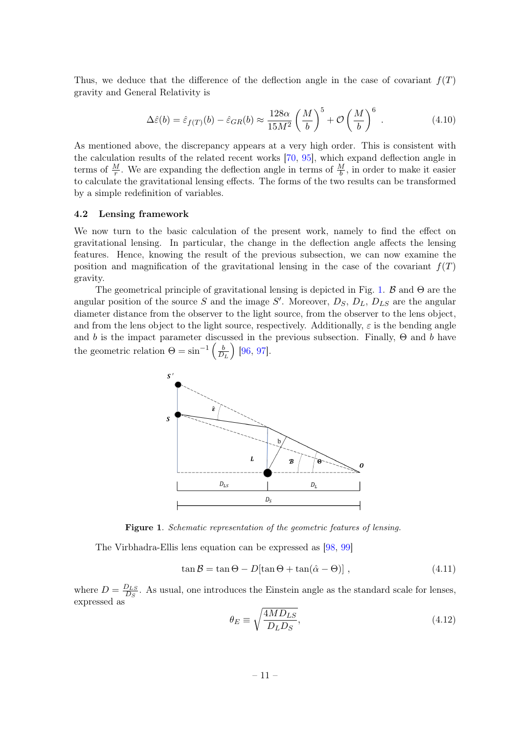Thus, we deduce that the difference of the deflection angle in the case of covariant  $f(T)$ gravity and General Relativity is

$$
\Delta \hat{\varepsilon}(b) = \hat{\varepsilon}_{f(T)}(b) - \hat{\varepsilon}_{GR}(b) \approx \frac{128\alpha}{15M^2} \left(\frac{M}{b}\right)^5 + \mathcal{O}\left(\frac{M}{b}\right)^6 \tag{4.10}
$$

As mentioned above, the discrepancy appears at a very high order. This is consistent with the calculation results of the related recent works [\[70,](#page-17-5) [95\]](#page-18-4), which expand deflection angle in terms of  $\frac{M}{r}$ . We are expanding the deflection angle in terms of  $\frac{M}{b}$ , in order to make it easier to calculate the gravitational lensing effects. The forms of the two results can be transformed by a simple redefinition of variables.

#### <span id="page-11-0"></span>4.2 Lensing framework

We now turn to the basic calculation of the present work, namely to find the effect on gravitational lensing. In particular, the change in the deflection angle affects the lensing features. Hence, knowing the result of the previous subsection, we can now examine the position and magnification of the gravitational lensing in the case of the covariant  $f(T)$ gravity.

The geometrical principle of gravitational lensing is depicted in Fig. [1.](#page-11-1)  $\beta$  and  $\Theta$  are the angular position of the source S and the image S'. Moreover,  $D_S$ ,  $D_L$ ,  $D_{LS}$  are the angular diameter distance from the observer to the light source, from the observer to the lens object, and from the lens object to the light source, respectively. Additionally,  $\varepsilon$  is the bending angle and b is the impact parameter discussed in the previous subsection. Finally,  $\Theta$  and b have the geometric relation  $\Theta = \sin^{-1} \left( \frac{b}{D} \right)$  $D_L$ [\[96,](#page-18-6) [97\]](#page-18-7).



<span id="page-11-1"></span>Figure 1. Schematic representation of the geometric features of lensing.

The Virbhadra-Ellis lens equation can be expressed as [\[98,](#page-18-8) [99\]](#page-18-9)

<span id="page-11-2"></span>
$$
\tan \mathcal{B} = \tan \Theta - D[\tan \Theta + \tan(\hat{\alpha} - \Theta)], \qquad (4.11)
$$

where  $D = \frac{D_{LS}}{D_{C}}$  $\frac{D_{LS}}{D_S}$ . As usual, one introduces the Einstein angle as the standard scale for lenses, expressed as

$$
\theta_E \equiv \sqrt{\frac{4MD_{LS}}{D_L D_S}},\tag{4.12}
$$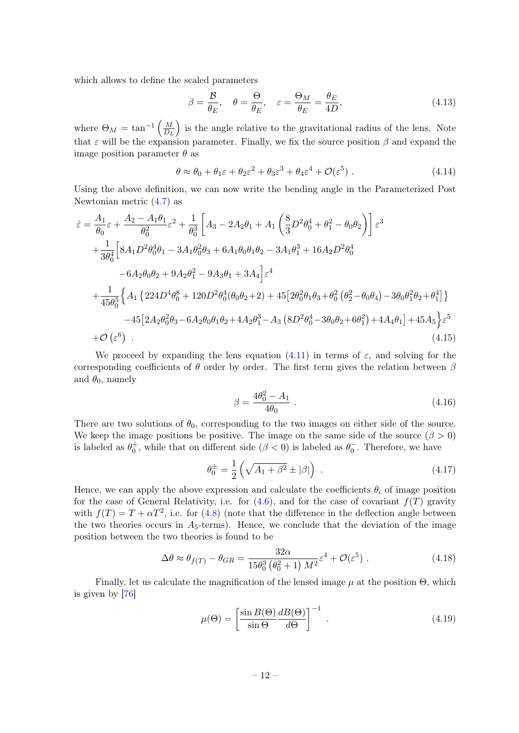which allows to define the scaled parameters

$$
\beta = \frac{\mathcal{B}}{\theta_E}, \quad \theta = \frac{\Theta}{\theta_E}, \quad \varepsilon = \frac{\Theta_M}{\theta_E} = \frac{\theta_E}{4D}, \tag{4.13}
$$

where  $\Theta_M = \tan^{-1} \left( \frac{M}{D} \right)$  $D_L$ ) is the angle relative to the gravitational radius of the lens. Note that  $\varepsilon$  will be the expansion parameter. Finally, we fix the source position  $\beta$  and expand the image position parameter  $\theta$  as

$$
\theta \approx \theta_0 + \theta_1 \varepsilon + \theta_2 \varepsilon^2 + \theta_3 \varepsilon^3 + \theta_4 \varepsilon^4 + \mathcal{O}(\varepsilon^5) \tag{4.14}
$$

Using the above definition, we can now write the bending angle in the Parameterized Post Newtonian metric [\(4.7\)](#page-10-1) as

$$
\hat{\varepsilon} = \frac{A_1}{\theta_0} \varepsilon + \frac{A_2 - A_1 \theta_1}{\theta_0^2} \varepsilon^2 + \frac{1}{\theta_0^3} \left[ A_3 - 2A_2 \theta_1 + A_1 \left( \frac{8}{3} D^2 \theta_0^4 + \theta_1^2 - \theta_0 \theta_2 \right) \right] \varepsilon^3 \n+ \frac{1}{3\theta_0^4} \left[ 8A_1 D^2 \theta_0^4 \theta_1 - 3A_1 \theta_0^2 \theta_3 + 6A_1 \theta_0 \theta_1 \theta_2 - 3A_1 \theta_1^3 + 16A_2 D^2 \theta_0^4 \right. \n- 6A_2 \theta_0 \theta_2 + 9A_2 \theta_1^2 - 9A_3 \theta_1 + 3A_4 \right] \varepsilon^4 \n+ \frac{1}{45\theta_0^5} \left\{ A_1 \left\{ 224 D^4 \theta_0^8 + 120 D^2 \theta_0^4 (\theta_0 \theta_2 + 2) + 45 \left[ 2\theta_0^2 \theta_1 \theta_3 + \theta_0^2 (\theta_2^2 - \theta_0 \theta_4) - 3\theta_0 \theta_1^2 \theta_2 + \theta_1^4 \right] \right\} \n- 45 \left[ 2A_2 \theta_0^2 \theta_3 - 6A_2 \theta_0 \theta_1 \theta_2 + 4A_2 \theta_1^3 - A_3 \left( 8 D^2 \theta_0^4 - 3\theta_0 \theta_2 + 6\theta_1^2 \right) + 4A_4 \theta_1 \right] + 45A_5 \right\} \varepsilon^5 \n+ \mathcal{O} \left( \varepsilon^6 \right) .
$$
\n(4.15)

We proceed by expanding the lens equation [\(4.11\)](#page-11-2) in terms of  $\varepsilon$ , and solving for the corresponding coefficients of  $\theta$  order by order. The first term gives the relation between  $\beta$ and  $\theta_0$ , namely

$$
\beta = \frac{4\theta_0^2 - A_1}{4\theta_0} \ . \tag{4.16}
$$

There are two solutions of  $\theta_0$ , corresponding to the two images on either side of the source. We keep the image positions be positive. The image on the same side of the source  $(\beta > 0)$ is labeled as  $\theta_0^+$ , while that on different side  $(\beta < 0)$  is labeled as  $\theta_0^-$ . Therefore, we have

$$
\theta_0^{\pm} = \frac{1}{2} \left( \sqrt{A_1 + \beta^2} \pm |\beta| \right) \,. \tag{4.17}
$$

Hence, we can apply the above expression and calculate the coefficients  $\theta_i$  of image position for the case of General Relativity, i.e. for  $(4.6)$ , and for the case of covariant  $f(T)$  gravity with  $f(T) = T + \alpha T^2$ , i.e. for [\(4.8\)](#page-10-3) (note that the difference in the deflection angle between the two theories occurs in  $A_5$ -terms). Hence, we conclude that the deviation of the image position between the two theories is found to be

$$
\Delta\theta \approx \theta_{f(T)} - \theta_{GR} = \frac{32\alpha}{15\theta_0^3 \left(\theta_0^2 + 1\right) M^2} \varepsilon^4 + \mathcal{O}(\varepsilon^5) \tag{4.18}
$$

Finally, let us calculate the magnification of the lensed image  $\mu$  at the position  $\Theta$ , which is given by [\[76\]](#page-17-20)

$$
\mu(\Theta) = \left[\frac{\sin B(\Theta)}{\sin \Theta} \frac{dB(\Theta)}{d\Theta}\right]^{-1} .
$$
\n(4.19)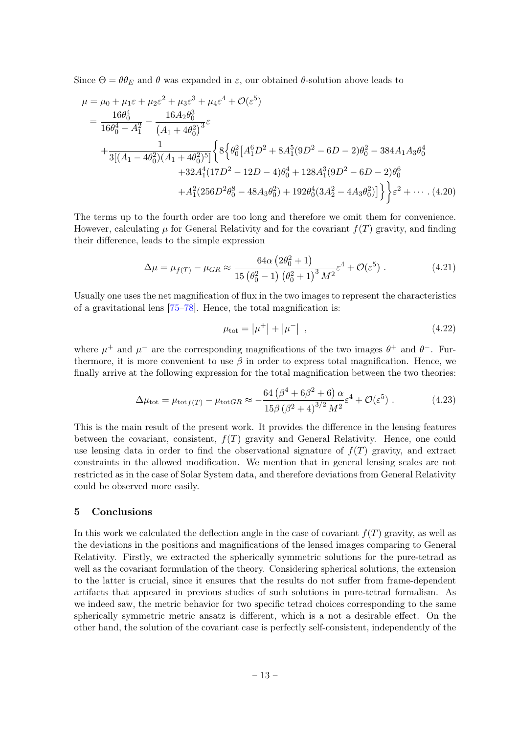Since  $\Theta = \theta \theta_E$  and  $\theta$  was expanded in  $\varepsilon$ , our obtained  $\theta$ -solution above leads to

$$
\mu = \mu_0 + \mu_1 \varepsilon + \mu_2 \varepsilon^2 + \mu_3 \varepsilon^3 + \mu_4 \varepsilon^4 + \mathcal{O}(\varepsilon^5)
$$
  
=  $\frac{16\theta_0^4}{16\theta_0^4 - A_1^2} - \frac{16A_2\theta_0^3}{(A_1 + 4\theta_0^2)^3} \varepsilon$   
+  $\frac{1}{3[(A_1 - 4\theta_0^2)(A_1 + 4\theta_0^2)^5]} \left\{ 8\left\{ \theta_0^2 [A_1^6 D^2 + 8A_1^5 (9D^2 - 6D - 2)\theta_0^2 - 384A_1A_3\theta_0^4 + 32A_1^4 (17D^2 - 12D - 4)\theta_0^4 + 128A_1^3 (9D^2 - 6D - 2)\theta_0^6 + A_1^2 (256D^2\theta_0^8 - 48A_3\theta_0^2) + 192\theta_0^4 (3A_2^2 - 4A_3\theta_0^2)] \right\} \varepsilon^2 + \cdots$  (4.20)

The terms up to the fourth order are too long and therefore we omit them for convenience. However, calculating  $\mu$  for General Relativity and for the covariant  $f(T)$  gravity, and finding their difference, leads to the simple expression

$$
\Delta \mu = \mu_{f(T)} - \mu_{GR} \approx \frac{64\alpha (2\theta_0^2 + 1)}{15 (\theta_0^2 - 1) (\theta_0^2 + 1)^3 M^2} \varepsilon^4 + \mathcal{O}(\varepsilon^5) . \tag{4.21}
$$

Usually one uses the net magnification of flux in the two images to represent the characteristics of a gravitational lens [\[75–](#page-17-9)[78\]](#page-17-21). Hence, the total magnification is:

$$
\mu_{\rm tot} = |\mu^+| + |\mu^-| \quad , \tag{4.22}
$$

where  $\mu^+$  and  $\mu^-$  are the corresponding magnifications of the two images  $\theta^+$  and  $\theta^-$ . Furthermore, it is more convenient to use  $\beta$  in order to express total magnification. Hence, we finally arrive at the following expression for the total magnification between the two theories:

$$
\Delta \mu_{\rm tot} = \mu_{\rm tot} f(T) - \mu_{\rm tot} GR \approx -\frac{64 \left(\beta^4 + 6\beta^2 + 6\right) \alpha}{15 \beta \left(\beta^2 + 4\right)^{3/2} M^2} \varepsilon^4 + \mathcal{O}(\varepsilon^5) \,. \tag{4.23}
$$

This is the main result of the present work. It provides the difference in the lensing features between the covariant, consistent,  $f(T)$  gravity and General Relativity. Hence, one could use lensing data in order to find the observational signature of  $f(T)$  gravity, and extract constraints in the allowed modification. We mention that in general lensing scales are not restricted as in the case of Solar System data, and therefore deviations from General Relativity could be observed more easily.

#### <span id="page-13-0"></span>5 Conclusions

In this work we calculated the deflection angle in the case of covariant  $f(T)$  gravity, as well as the deviations in the positions and magnifications of the lensed images comparing to General Relativity. Firstly, we extracted the spherically symmetric solutions for the pure-tetrad as well as the covariant formulation of the theory. Considering spherical solutions, the extension to the latter is crucial, since it ensures that the results do not suffer from frame-dependent artifacts that appeared in previous studies of such solutions in pure-tetrad formalism. As we indeed saw, the metric behavior for two specific tetrad choices corresponding to the same spherically symmetric metric ansatz is different, which is a not a desirable effect. On the other hand, the solution of the covariant case is perfectly self-consistent, independently of the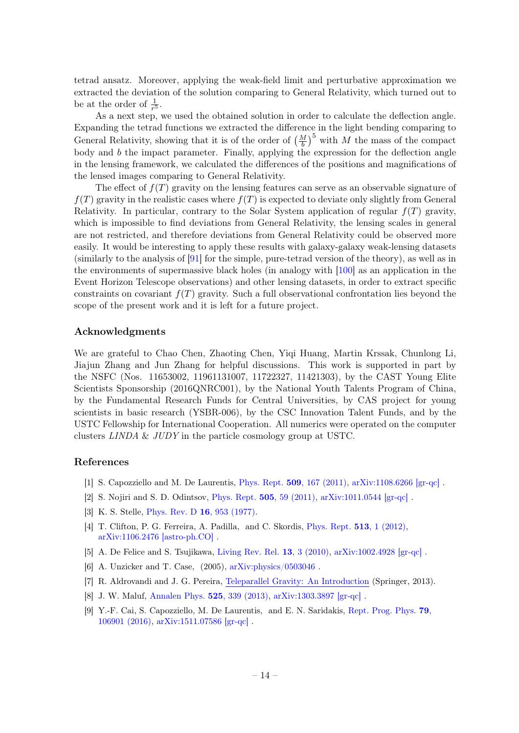tetrad ansatz. Moreover, applying the weak-field limit and perturbative approximation we extracted the deviation of the solution comparing to General Relativity, which turned out to be at the order of  $\frac{1}{r^5}$ .

As a next step, we used the obtained solution in order to calculate the deflection angle. Expanding the tetrad functions we extracted the difference in the light bending comparing to General Relativity, showing that it is of the order of  $\left(\frac{M}{b}\right)^5$  with M the mass of the compact body and  $b$  the impact parameter. Finally, applying the expression for the deflection angle in the lensing framework, we calculated the differences of the positions and magnifications of the lensed images comparing to General Relativity.

The effect of  $f(T)$  gravity on the lensing features can serve as an observable signature of  $f(T)$  gravity in the realistic cases where  $f(T)$  is expected to deviate only slightly from General Relativity. In particular, contrary to the Solar System application of regular  $f(T)$  gravity, which is impossible to find deviations from General Relativity, the lensing scales in general are not restricted, and therefore deviations from General Relativity could be observed more easily. It would be interesting to apply these results with galaxy-galaxy weak-lensing datasets (similarly to the analysis of [\[91\]](#page-18-2) for the simple, pure-tetrad version of the theory), as well as in the environments of supermassive black holes (in analogy with [\[100\]](#page-18-10) as an application in the Event Horizon Telescope observations) and other lensing datasets, in order to extract specific constraints on covariant  $f(T)$  gravity. Such a full observational confrontation lies beyond the scope of the present work and it is left for a future project.

#### Acknowledgments

We are grateful to Chao Chen, Zhaoting Chen, Yiqi Huang, Martin Krssak, Chunlong Li, Jiajun Zhang and Jun Zhang for helpful discussions. This work is supported in part by the NSFC (Nos. 11653002, 11961131007, 11722327, 11421303), by the CAST Young Elite Scientists Sponsorship (2016QNRC001), by the National Youth Talents Program of China, by the Fundamental Research Funds for Central Universities, by CAS project for young scientists in basic research (YSBR-006), by the CSC Innovation Talent Funds, and by the USTC Fellowship for International Cooperation. All numerics were operated on the computer clusters LINDA & JUDY in the particle cosmology group at USTC.

#### References

- <span id="page-14-0"></span>[1] S. Capozziello and M. De Laurentis, Phys. Rept. 509[, 167 \(2011\),](http://dx.doi.org/10.1016/j.physrep.2011.09.003) [arXiv:1108.6266 \[gr-qc\]](http://arxiv.org/abs/1108.6266) .
- <span id="page-14-1"></span>[2] S. Nojiri and S. D. Odintsov, [Phys. Rept.](http://dx.doi.org/10.1016/j.physrep.2011.04.001) 505, 59 (2011), [arXiv:1011.0544 \[gr-qc\]](http://arxiv.org/abs/1011.0544) .
- <span id="page-14-2"></span>[3] K. S. Stelle, [Phys. Rev. D](http://dx.doi.org/10.1103/PhysRevD.16.953) 16, 953 (1977).
- <span id="page-14-3"></span>[4] T. Clifton, P. G. Ferreira, A. Padilla, and C. Skordis, [Phys. Rept.](http://dx.doi.org/10.1016/j.physrep.2012.01.001) 513, 1 (2012), [arXiv:1106.2476 \[astro-ph.CO\]](http://arxiv.org/abs/1106.2476) .
- <span id="page-14-4"></span>[5] A. De Felice and S. Tsujikawa, [Living Rev. Rel.](http://dx.doi.org/10.12942/lrr-2010-3) 13, 3 (2010), [arXiv:1002.4928 \[gr-qc\]](http://arxiv.org/abs/1002.4928) .
- <span id="page-14-5"></span>[6] A. Unzicker and T. Case, (2005), [arXiv:physics/0503046](http://arxiv.org/abs/physics/0503046) .
- <span id="page-14-8"></span>[7] R. Aldrovandi and J. G. Pereira, [Teleparallel Gravity: An Introduction](http://dx.doi.org/10.1007/978-94-007-5143-9) (Springer, 2013).
- <span id="page-14-6"></span>[8] J. W. Maluf, [Annalen Phys.](http://dx.doi.org/10.1002/andp.201200272) 525, 339 (2013), [arXiv:1303.3897 \[gr-qc\]](http://arxiv.org/abs/1303.3897) .
- <span id="page-14-7"></span>[9] Y.-F. Cai, S. Capozziello, M. De Laurentis, and E. N. Saridakis, [Rept. Prog. Phys.](http://dx.doi.org/10.1088/0034-4885/79/10/106901) 79, [106901 \(2016\),](http://dx.doi.org/10.1088/0034-4885/79/10/106901) [arXiv:1511.07586 \[gr-qc\]](http://arxiv.org/abs/1511.07586) .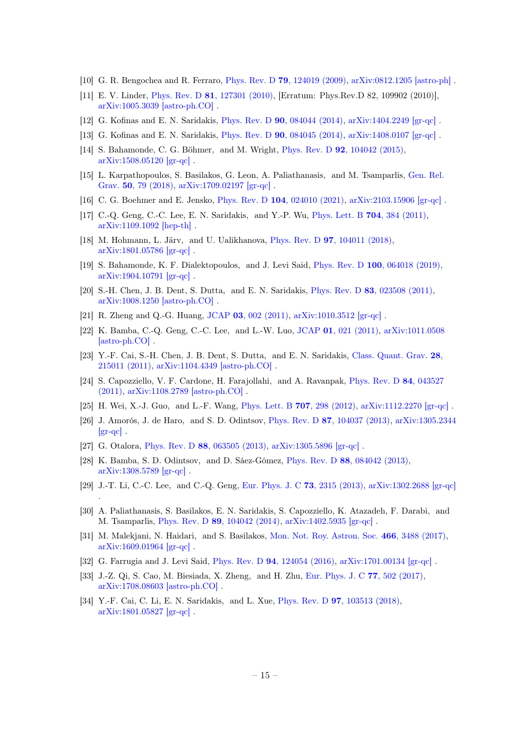- [10] G. R. Bengochea and R. Ferraro, Phys. Rev. D **79**[, 124019 \(2009\),](http://dx.doi.org/10.1103/PhysRevD.79.124019) [arXiv:0812.1205 \[astro-ph\]](http://arxiv.org/abs/0812.1205).
- <span id="page-15-0"></span>[11] E. V. Linder, Phys. Rev. D 81[, 127301 \(2010\),](http://dx.doi.org/10.1103/PhysRevD.81.127301) [Erratum: Phys.Rev.D 82, 109902 (2010)], [arXiv:1005.3039 \[astro-ph.CO\]](http://arxiv.org/abs/1005.3039) .
- <span id="page-15-1"></span>[12] G. Kofinas and E. N. Saridakis, Phys. Rev. D 90[, 084044 \(2014\),](http://dx.doi.org/10.1103/PhysRevD.90.084044) [arXiv:1404.2249 \[gr-qc\]](http://arxiv.org/abs/1404.2249) .
- <span id="page-15-2"></span>[13] G. Kofinas and E. N. Saridakis, Phys. Rev. D 90[, 084045 \(2014\),](http://dx.doi.org/10.1103/PhysRevD.90.084045) [arXiv:1408.0107 \[gr-qc\]](http://arxiv.org/abs/1408.0107) .
- <span id="page-15-3"></span>[14] S. Bahamonde, C. G. Böhmer, and M. Wright, Phys. Rev. D 92[, 104042 \(2015\),](http://dx.doi.org/10.1103/PhysRevD.92.104042) [arXiv:1508.05120 \[gr-qc\]](http://arxiv.org/abs/1508.05120) .
- [15] L. Karpathopoulos, S. Basilakos, G. Leon, A. Paliathanasis, and M. Tsamparlis, [Gen. Rel.](http://dx.doi.org/10.1007/s10714-018-2400-6) Grav. 50[, 79 \(2018\),](http://dx.doi.org/10.1007/s10714-018-2400-6) [arXiv:1709.02197 \[gr-qc\]](http://arxiv.org/abs/1709.02197) .
- <span id="page-15-4"></span>[16] C. G. Boehmer and E. Jensko, Phys. Rev. D 104[, 024010 \(2021\),](http://dx.doi.org/10.1103/PhysRevD.104.024010) [arXiv:2103.15906 \[gr-qc\]](http://arxiv.org/abs/2103.15906).
- <span id="page-15-5"></span>[17] C.-Q. Geng, C.-C. Lee, E. N. Saridakis, and Y.-P. Wu, *[Phys. Lett. B](http://dx.doi.org/10.1016/j.physletb.2011.09.082)* 704, 384 (2011), [arXiv:1109.1092 \[hep-th\]](http://arxiv.org/abs/1109.1092) .
- <span id="page-15-8"></span>[18] M. Hohmann, L. Järv, and U. Ualikhanova, Phys. Rev. D 97[, 104011 \(2018\),](http://dx.doi.org/10.1103/PhysRevD.97.104011) [arXiv:1801.05786 \[gr-qc\]](http://arxiv.org/abs/1801.05786) .
- <span id="page-15-6"></span>[19] S. Bahamonde, K. F. Dialektopoulos, and J. Levi Said, Phys. Rev. D 100[, 064018 \(2019\),](http://dx.doi.org/10.1103/PhysRevD.100.064018) [arXiv:1904.10791 \[gr-qc\]](http://arxiv.org/abs/1904.10791) .
- <span id="page-15-7"></span>[20] S.-H. Chen, J. B. Dent, S. Dutta, and E. N. Saridakis, Phys. Rev. D 83[, 023508 \(2011\),](http://dx.doi.org/ 10.1103/PhysRevD.83.023508) [arXiv:1008.1250 \[astro-ph.CO\]](http://arxiv.org/abs/1008.1250) .
- [21] R. Zheng and Q.-G. Huang, JCAP 03[, 002 \(2011\),](http://dx.doi.org/10.1088/1475-7516/2011/03/002) [arXiv:1010.3512 \[gr-qc\]](http://arxiv.org/abs/1010.3512) .
- [22] K. Bamba, C.-Q. Geng, C.-C. Lee, and L.-W. Luo, JCAP 01[, 021 \(2011\),](http://dx.doi.org/10.1088/1475-7516/2011/01/021) [arXiv:1011.0508](http://arxiv.org/abs/1011.0508) [\[astro-ph.CO\]](http://arxiv.org/abs/1011.0508) .
- [23] Y.-F. Cai, S.-H. Chen, J. B. Dent, S. Dutta, and E. N. Saridakis, [Class. Quant. Grav.](http://dx.doi.org/ 10.1088/0264-9381/28/21/215011) 28, [215011 \(2011\),](http://dx.doi.org/ 10.1088/0264-9381/28/21/215011) [arXiv:1104.4349 \[astro-ph.CO\]](http://arxiv.org/abs/1104.4349) .
- [24] S. Capozziello, V. F. Cardone, H. Farajollahi, and A. Ravanpak, [Phys. Rev. D](http://dx.doi.org/10.1103/PhysRevD.84.043527) 84, 043527 [\(2011\),](http://dx.doi.org/10.1103/PhysRevD.84.043527) [arXiv:1108.2789 \[astro-ph.CO\]](http://arxiv.org/abs/1108.2789) .
- [25] H. Wei, X.-J. Guo, and L.-F. Wang, [Phys. Lett. B](http://dx.doi.org/10.1016/j.physletb.2011.12.039) **707**, 298 (2012), [arXiv:1112.2270 \[gr-qc\]](http://arxiv.org/abs/1112.2270).
- [26] J. Amorós, J. de Haro, and S. D. Odintsov, Phys. Rev. D 87[, 104037 \(2013\),](http://dx.doi.org/10.1103/PhysRevD.87.104037) [arXiv:1305.2344](http://arxiv.org/abs/1305.2344)  $\left[\text{gr-qc}\right]$ .
- [27] G. Otalora, Phys. Rev. D 88[, 063505 \(2013\),](http://dx.doi.org/10.1103/PhysRevD.88.063505) [arXiv:1305.5896 \[gr-qc\]](http://arxiv.org/abs/1305.5896) .

.

- [28] K. Bamba, S. D. Odintsov, and D. Sáez-Gómez, Phys. Rev. D 88[, 084042 \(2013\),](http://dx.doi.org/10.1103/PhysRevD.88.084042) [arXiv:1308.5789 \[gr-qc\]](http://arxiv.org/abs/1308.5789) .
- [29] J.-T. Li, C.-C. Lee, and C.-Q. Geng, [Eur. Phys. J. C](http://dx.doi.org/10.1140/epjc/s10052-013-2315-z) 73, 2315 (2013), [arXiv:1302.2688 \[gr-qc\]](http://arxiv.org/abs/1302.2688)
- [30] A. Paliathanasis, S. Basilakos, E. N. Saridakis, S. Capozziello, K. Atazadeh, F. Darabi, and M. Tsamparlis, Phys. Rev. D 89[, 104042 \(2014\),](http://dx.doi.org/10.1103/PhysRevD.89.104042) [arXiv:1402.5935 \[gr-qc\]](http://arxiv.org/abs/1402.5935) .
- [31] M. Malekjani, N. Haidari, and S. Basilakos, [Mon. Not. Roy. Astron. Soc.](http://dx.doi.org/10.1093/mnras/stw3367) 466, 3488 (2017), [arXiv:1609.01964 \[gr-qc\]](http://arxiv.org/abs/1609.01964) .
- [32] G. Farrugia and J. Levi Said, Phys. Rev. D 94[, 124054 \(2016\),](http://dx.doi.org/10.1103/PhysRevD.94.124054) [arXiv:1701.00134 \[gr-qc\]](http://arxiv.org/abs/1701.00134) .
- [33] J.-Z. Qi, S. Cao, M. Biesiada, X. Zheng, and H. Zhu, [Eur. Phys. J. C](http://dx.doi.org/ 10.1140/epjc/s10052-017-5069-1) 77, 502 (2017), [arXiv:1708.08603 \[astro-ph.CO\]](http://arxiv.org/abs/1708.08603) .
- [34] Y.-F. Cai, C. Li, E. N. Saridakis, and L. Xue, Phys. Rev. D 97[, 103513 \(2018\),](http://dx.doi.org/ 10.1103/PhysRevD.97.103513) [arXiv:1801.05827 \[gr-qc\]](http://arxiv.org/abs/1801.05827) .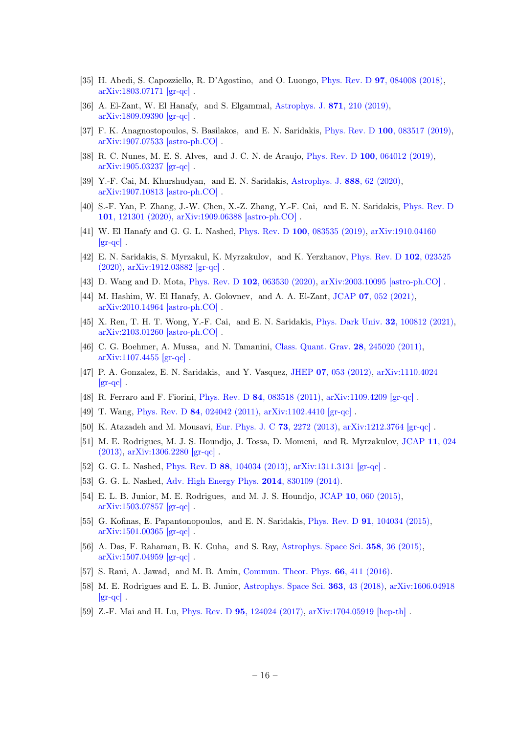- [35] H. Abedi, S. Capozziello, R. D'Agostino, and O. Luongo, Phys. Rev. D 97[, 084008 \(2018\),](http://dx.doi.org/10.1103/PhysRevD.97.084008) [arXiv:1803.07171 \[gr-qc\]](http://arxiv.org/abs/1803.07171) .
- [36] A. El-Zant, W. El Hanafy, and S. Elgammal, [Astrophys. J.](http://dx.doi.org/10.3847/1538-4357/aafa12) 871, 210 (2019), [arXiv:1809.09390 \[gr-qc\]](http://arxiv.org/abs/1809.09390) .
- [37] F. K. Anagnostopoulos, S. Basilakos, and E. N. Saridakis, Phys. Rev. D 100[, 083517 \(2019\),](http://dx.doi.org/10.1103/PhysRevD.100.083517) [arXiv:1907.07533 \[astro-ph.CO\]](http://arxiv.org/abs/1907.07533) .
- [38] R. C. Nunes, M. E. S. Alves, and J. C. N. de Araujo, Phys. Rev. D 100[, 064012 \(2019\),](http://dx.doi.org/10.1103/PhysRevD.100.064012) [arXiv:1905.03237 \[gr-qc\]](http://arxiv.org/abs/1905.03237) .
- [39] Y.-F. Cai, M. Khurshudyan, and E. N. Saridakis, [Astrophys. J.](http://dx.doi.org/10.3847/1538-4357/ab5a7f) 888, 62 (2020), [arXiv:1907.10813 \[astro-ph.CO\]](http://arxiv.org/abs/1907.10813) .
- [40] S.-F. Yan, P. Zhang, J.-W. Chen, X.-Z. Zhang, Y.-F. Cai, and E. N. Saridakis, [Phys. Rev. D](http://dx.doi.org/ 10.1103/PhysRevD.101.121301) 101[, 121301 \(2020\),](http://dx.doi.org/ 10.1103/PhysRevD.101.121301) [arXiv:1909.06388 \[astro-ph.CO\]](http://arxiv.org/abs/1909.06388) .
- [41] W. El Hanafy and G. G. L. Nashed, Phys. Rev. D 100[, 083535 \(2019\),](http://dx.doi.org/10.1103/PhysRevD.100.083535) [arXiv:1910.04160](http://arxiv.org/abs/1910.04160)  $\left[\text{gr-qc}\right]$ .
- [42] E. N. Saridakis, S. Myrzakul, K. Myrzakulov, and K. Yerzhanov, [Phys. Rev. D](http://dx.doi.org/10.1103/PhysRevD.102.023525) 102, 023525 [\(2020\),](http://dx.doi.org/10.1103/PhysRevD.102.023525) [arXiv:1912.03882 \[gr-qc\]](http://arxiv.org/abs/1912.03882) .
- [43] D. Wang and D. Mota, Phys. Rev. D 102[, 063530 \(2020\),](http://dx.doi.org/10.1103/PhysRevD.102.063530) [arXiv:2003.10095 \[astro-ph.CO\]](http://arxiv.org/abs/2003.10095).
- [44] M. Hashim, W. El Hanafy, A. Golovnev, and A. A. El-Zant, JCAP 07[, 052 \(2021\),](http://dx.doi.org/10.1088/1475-7516/2021/07/052) [arXiv:2010.14964 \[astro-ph.CO\]](http://arxiv.org/abs/2010.14964) .
- <span id="page-16-0"></span>[45] X. Ren, T. H. T. Wong, Y.-F. Cai, and E. N. Saridakis, [Phys. Dark Univ.](http://dx.doi.org/10.1016/j.dark.2021.100812) 32, 100812 (2021), [arXiv:2103.01260 \[astro-ph.CO\]](http://arxiv.org/abs/2103.01260) .
- <span id="page-16-1"></span>[46] C. G. Boehmer, A. Mussa, and N. Tamanini, [Class. Quant. Grav.](http://dx.doi.org/10.1088/0264-9381/28/24/245020) 28, 245020 (2011), [arXiv:1107.4455 \[gr-qc\]](http://arxiv.org/abs/1107.4455) .
- [47] P. A. Gonzalez, E. N. Saridakis, and Y. Vasquez, JHEP 07[, 053 \(2012\),](http://dx.doi.org/10.1007/JHEP07(2012)053) [arXiv:1110.4024](http://arxiv.org/abs/1110.4024)  $\left[\text{gr-qc}\right]$ .
- [48] R. Ferraro and F. Fiorini, Phys. Rev. D 84[, 083518 \(2011\),](http://dx.doi.org/10.1103/PhysRevD.84.083518) [arXiv:1109.4209 \[gr-qc\]](http://arxiv.org/abs/1109.4209) .
- [49] T. Wang, Phys. Rev. D 84[, 024042 \(2011\),](http://dx.doi.org/10.1103/PhysRevD.84.024042) [arXiv:1102.4410 \[gr-qc\]](http://arxiv.org/abs/1102.4410) .
- [50] K. Atazadeh and M. Mousavi, [Eur. Phys. J. C](http://dx.doi.org/10.1140/epjc/s10052-012-2272-y) 73, 2272 (2013), [arXiv:1212.3764 \[gr-qc\]](http://arxiv.org/abs/1212.3764) .
- [51] M. E. Rodrigues, M. J. S. Houndjo, J. Tossa, D. Momeni, and R. Myrzakulov, [JCAP](http://dx.doi.org/ 10.1088/1475-7516/2013/11/024) 11, 024 [\(2013\),](http://dx.doi.org/ 10.1088/1475-7516/2013/11/024) [arXiv:1306.2280 \[gr-qc\]](http://arxiv.org/abs/1306.2280) .
- [52] G. G. L. Nashed, Phys. Rev. D 88[, 104034 \(2013\),](http://dx.doi.org/10.1103/PhysRevD.88.104034) [arXiv:1311.3131 \[gr-qc\]](http://arxiv.org/abs/1311.3131) .
- [53] G. G. L. Nashed, [Adv. High Energy Phys.](http://dx.doi.org/10.1155/2014/830109) 2014, 830109 (2014).
- [54] E. L. B. Junior, M. E. Rodrigues, and M. J. S. Houndjo, JCAP 10[, 060 \(2015\),](http://dx.doi.org/ 10.1088/1475-7516/2015/10/060) [arXiv:1503.07857 \[gr-qc\]](http://arxiv.org/abs/1503.07857) .
- [55] G. Kofinas, E. Papantonopoulos, and E. N. Saridakis, Phys. Rev. D 91[, 104034 \(2015\),](http://dx.doi.org/10.1103/PhysRevD.91.104034) [arXiv:1501.00365 \[gr-qc\]](http://arxiv.org/abs/1501.00365) .
- [56] A. Das, F. Rahaman, B. K. Guha, and S. Ray, [Astrophys. Space Sci.](http://dx.doi.org/ 10.1007/s10509-015-2441-1) 358, 36 (2015), [arXiv:1507.04959 \[gr-qc\]](http://arxiv.org/abs/1507.04959) .
- [57] S. Rani, A. Jawad, and M. B. Amin, [Commun. Theor. Phys.](http://dx.doi.org/10.1088/0253-6102/66/4/411) 66, 411 (2016).
- [58] M. E. Rodrigues and E. L. B. Junior, [Astrophys. Space Sci.](http://dx.doi.org/10.1007/s10509-018-3262-9) 363, 43 (2018), [arXiv:1606.04918](http://arxiv.org/abs/1606.04918)  $|gr-qc|$ .
- [59] Z.-F. Mai and H. Lu, Phys. Rev. D 95[, 124024 \(2017\),](http://dx.doi.org/10.1103/PhysRevD.95.124024) [arXiv:1704.05919 \[hep-th\]](http://arxiv.org/abs/1704.05919) .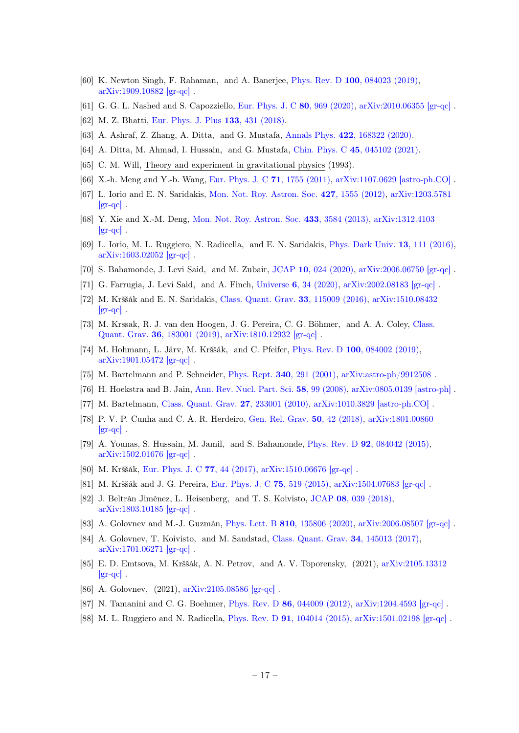- [60] K. Newton Singh, F. Rahaman, and A. Banerjee, Phys. Rev. D 100[, 084023 \(2019\),](http://dx.doi.org/10.1103/PhysRevD.100.084023) [arXiv:1909.10882 \[gr-qc\]](http://arxiv.org/abs/1909.10882) .
- [61] G. G. L. Nashed and S. Capozziello, [Eur. Phys. J. C](http://dx.doi.org/ 10.1140/epjc/s10052-020-08551-1) 80, 969 (2020), [arXiv:2010.06355 \[gr-qc\]](http://arxiv.org/abs/2010.06355) .
- [62] M. Z. Bhatti, [Eur. Phys. J. Plus](http://dx.doi.org/10.1140/epjp/i2018-12214-8) 133, 431 (2018).
- [63] A. Ashraf, Z. Zhang, A. Ditta, and G. Mustafa, Annals Phys. 422[, 168322 \(2020\).](http://dx.doi.org/ 10.1016/j.aop.2020.168322)
- <span id="page-17-0"></span>[64] A. Ditta, M. Ahmad, I. Hussain, and G. Mustafa, Chin. Phys. C 45[, 045102 \(2021\).](http://dx.doi.org/10.1088/1674-1137/abdfbd)
- <span id="page-17-1"></span>[65] C. M. Will, Theory and experiment in gravitational physics (1993).
- <span id="page-17-2"></span>[66] X.-h. Meng and Y.-b. Wang, [Eur. Phys. J. C](http://dx.doi.org/10.1140/epjc/s10052-011-1755-6) 71, 1755 (2011), [arXiv:1107.0629 \[astro-ph.CO\]](http://arxiv.org/abs/1107.0629) .
- <span id="page-17-3"></span>[67] L. Iorio and E. N. Saridakis, [Mon. Not. Roy. Astron. Soc.](http://dx.doi.org/10.1111/j.1365-2966.2012.21995.x) 427, 1555 (2012), [arXiv:1203.5781](http://arxiv.org/abs/1203.5781)  $\left[\text{gr-qc}\right]$ .
- [68] Y. Xie and X.-M. Deng, [Mon. Not. Roy. Astron. Soc.](http://dx.doi.org/10.1093/mnras/stt991) 433, 3584 (2013), [arXiv:1312.4103](http://arxiv.org/abs/1312.4103)  $|gr-qc|$ .
- <span id="page-17-4"></span>[69] L. Iorio, M. L. Ruggiero, N. Radicella, and E. N. Saridakis, [Phys. Dark Univ.](http://dx.doi.org/10.1016/j.dark.2016.05.001) 13, 111 (2016), [arXiv:1603.02052 \[gr-qc\]](http://arxiv.org/abs/1603.02052) .
- <span id="page-17-5"></span>[70] S. Bahamonde, J. Levi Said, and M. Zubair, JCAP 10[, 024 \(2020\),](http://dx.doi.org/10.1088/1475-7516/2020/10/024) [arXiv:2006.06750 \[gr-qc\]](http://arxiv.org/abs/2006.06750) .
- <span id="page-17-6"></span>[71] G. Farrugia, J. Levi Said, and A. Finch, Universe 6[, 34 \(2020\),](http://dx.doi.org/10.3390/universe6020034) [arXiv:2002.08183 \[gr-qc\]](http://arxiv.org/abs/2002.08183) .
- <span id="page-17-7"></span>[72] M. Krššák and E. N. Saridakis, [Class. Quant. Grav.](http://dx.doi.org/10.1088/0264-9381/33/11/115009) 33, 115009 (2016), [arXiv:1510.08432](http://arxiv.org/abs/1510.08432)  $\left[\text{gr-qc}\right]$ .
- <span id="page-17-11"></span>[73] M. Krssak, R. J. van den Hoogen, J. G. Pereira, C. G. Böhmer, and A. A. Coley, [Class.](http://dx.doi.org/10.1088/1361-6382/ab2e1f) Quant. Grav. 36[, 183001 \(2019\),](http://dx.doi.org/10.1088/1361-6382/ab2e1f) [arXiv:1810.12932 \[gr-qc\]](http://arxiv.org/abs/1810.12932) .
- <span id="page-17-8"></span>[74] M. Hohmann, L. Järv, M. Krššák, and C. Pfeifer, Phys. Rev. D 100[, 084002 \(2019\),](http://dx.doi.org/10.1103/PhysRevD.100.084002) [arXiv:1901.05472 \[gr-qc\]](http://arxiv.org/abs/1901.05472) .
- <span id="page-17-9"></span>[75] M. Bartelmann and P. Schneider, Phys. Rept. 340[, 291 \(2001\),](http://dx.doi.org/10.1016/S0370-1573(00)00082-X) [arXiv:astro-ph/9912508](http://arxiv.org/abs/astro-ph/9912508) .
- <span id="page-17-20"></span>[76] H. Hoekstra and B. Jain, [Ann. Rev. Nucl. Part. Sci.](http://dx.doi.org/10.1146/annurev.nucl.58.110707.171151) 58, 99 (2008), [arXiv:0805.0139 \[astro-ph\]](http://arxiv.org/abs/0805.0139) .
- [77] M. Bartelmann, [Class. Quant. Grav.](http://dx.doi.org/10.1088/0264-9381/27/23/233001) 27, 233001 (2010), [arXiv:1010.3829 \[astro-ph.CO\]](http://arxiv.org/abs/1010.3829) .
- <span id="page-17-21"></span>[78] P. V. P. Cunha and C. A. R. Herdeiro, [Gen. Rel. Grav.](http://dx.doi.org/10.1007/s10714-018-2361-9) 50, 42 (2018), [arXiv:1801.00860](http://arxiv.org/abs/1801.00860)  $|gr-qc|$ .
- <span id="page-17-10"></span>[79] A. Younas, S. Hussain, M. Jamil, and S. Bahamonde, Phys. Rev. D 92[, 084042 \(2015\),](http://dx.doi.org/ 10.1103/PhysRevD.92.084042) [arXiv:1502.01676 \[gr-qc\]](http://arxiv.org/abs/1502.01676) .
- <span id="page-17-12"></span>[80] M. Krššák, [Eur. Phys. J. C](http://dx.doi.org/10.1140/epjc/s10052-017-4621-3) 77, 44 (2017), [arXiv:1510.06676 \[gr-qc\]](http://arxiv.org/abs/1510.06676) .
- <span id="page-17-13"></span>[81] M. Krššák and J. G. Pereira, [Eur. Phys. J. C](http://dx.doi.org/10.1140/epjc/s10052-015-3749-2) 75, 519 (2015), [arXiv:1504.07683 \[gr-qc\]](http://arxiv.org/abs/1504.07683) .
- <span id="page-17-14"></span>[82] J. Beltrán Jiménez, L. Heisenberg, and T. S. Koivisto, JCAP 08[, 039 \(2018\),](http://dx.doi.org/10.1088/1475-7516/2018/08/039) [arXiv:1803.10185 \[gr-qc\]](http://arxiv.org/abs/1803.10185) .
- <span id="page-17-15"></span>[83] A. Golovnev and M.-J. Guzmán, Phys. Lett. B 810[, 135806 \(2020\),](http://dx.doi.org/10.1016/j.physletb.2020.135806) [arXiv:2006.08507 \[gr-qc\]](http://arxiv.org/abs/2006.08507) .
- <span id="page-17-16"></span>[84] A. Golovnev, T. Koivisto, and M. Sandstad, [Class. Quant. Grav.](http://dx.doi.org/10.1088/1361-6382/aa7830) 34, 145013 (2017), [arXiv:1701.06271 \[gr-qc\]](http://arxiv.org/abs/1701.06271) .
- [85] E. D. Emtsova, M. Krššák, A. N. Petrov, and A. V. Toporensky, (2021), [arXiv:2105.13312](http://arxiv.org/abs/2105.13312)  $\left[\text{gr-qc}\right]$ .
- <span id="page-17-17"></span>[86] A. Golovnev, (2021), [arXiv:2105.08586 \[gr-qc\]](http://arxiv.org/abs/2105.08586) .
- <span id="page-17-18"></span>[87] N. Tamanini and C. G. Boehmer, Phys. Rev. D 86[, 044009 \(2012\),](http://dx.doi.org/10.1103/PhysRevD.86.044009) [arXiv:1204.4593 \[gr-qc\]](http://arxiv.org/abs/1204.4593).
- <span id="page-17-19"></span>[88] M. L. Ruggiero and N. Radicella, Phys. Rev. D 91[, 104014 \(2015\),](http://dx.doi.org/10.1103/PhysRevD.91.104014) [arXiv:1501.02198 \[gr-qc\]](http://arxiv.org/abs/1501.02198) .